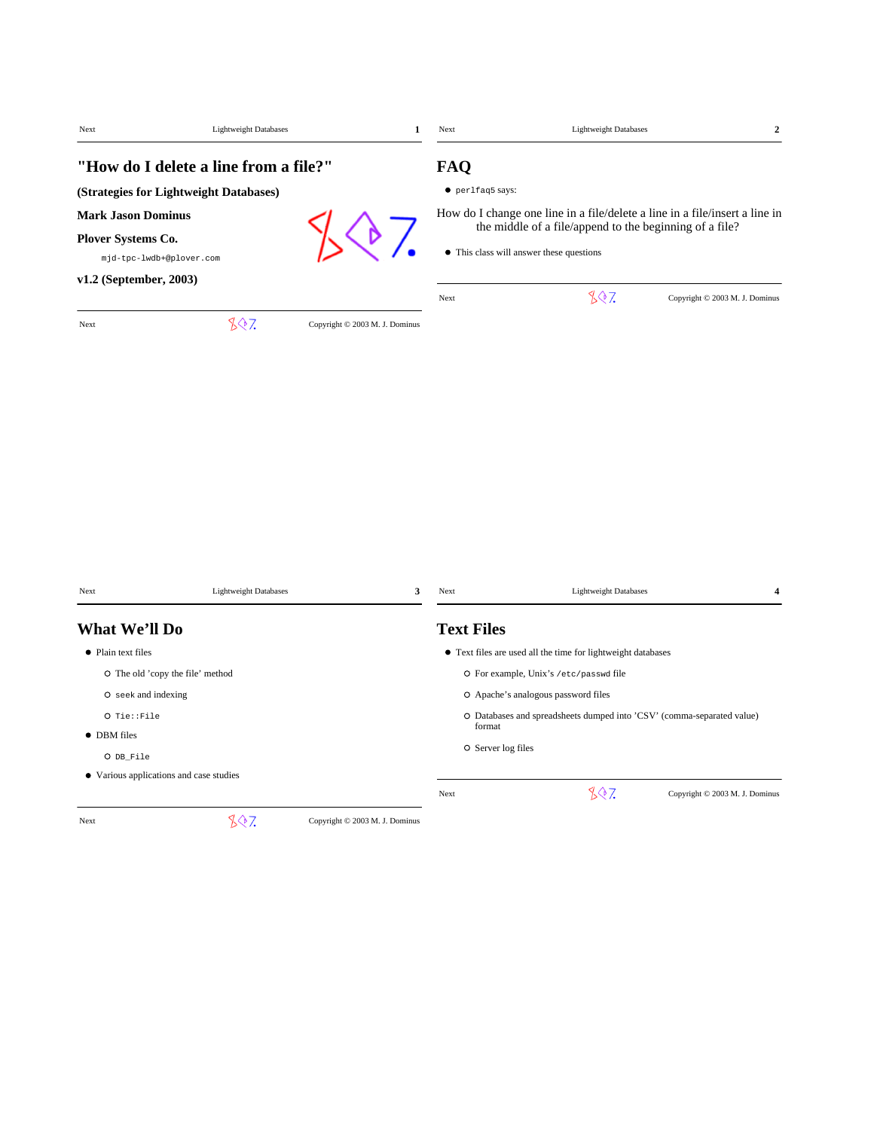| Next                                                                                                  | <b>Lightweight Databases</b>          | 1                              | Next                    | <b>Lightweight Databases</b>                                                                                                                                                       | $\boldsymbol{2}$               |
|-------------------------------------------------------------------------------------------------------|---------------------------------------|--------------------------------|-------------------------|------------------------------------------------------------------------------------------------------------------------------------------------------------------------------------|--------------------------------|
| (Strategies for Lightweight Databases)                                                                | "How do I delete a line from a file?" |                                | FAQ<br>• perlfaq5 says: |                                                                                                                                                                                    |                                |
| <b>Mark Jason Dominus</b><br>Plover Systems Co.<br>mjd-tpc-lwdb+@plover.com<br>v1.2 (September, 2003) |                                       |                                |                         | How do I change one line in a file/delete a line in a file/insert a line in<br>the middle of a file/append to the beginning of a file?<br>• This class will answer these questions |                                |
| Next                                                                                                  | 807                                   | Copyright © 2003 M. J. Dominus | Next                    | 807                                                                                                                                                                                | Copyright © 2003 M. J. Dominus |
|                                                                                                       |                                       |                                |                         |                                                                                                                                                                                    |                                |
| Next                                                                                                  | <b>Lightweight Databases</b>          | 3                              | Next                    | <b>Lightweight Databases</b>                                                                                                                                                       | 4                              |
| What We'll Do                                                                                         |                                       |                                | <b>Text Files</b>       |                                                                                                                                                                                    |                                |
| • Plain text files                                                                                    |                                       |                                |                         | • Text files are used all the time for lightweight databases                                                                                                                       |                                |
| O The old 'copy the file' method                                                                      |                                       |                                |                         | O For example, Unix's /etc/passwd file                                                                                                                                             |                                |
| O seek and indexing                                                                                   |                                       |                                |                         | O Apache's analogous password files                                                                                                                                                |                                |
| O Tie::File                                                                                           |                                       |                                |                         | O Databases and spreadsheets dumped into 'CSV' (comma-separated value)                                                                                                             |                                |
| • DBM files                                                                                           |                                       |                                | format                  |                                                                                                                                                                                    |                                |
| O DB File                                                                                             |                                       |                                | O Server log files      |                                                                                                                                                                                    |                                |

Various applications and case studies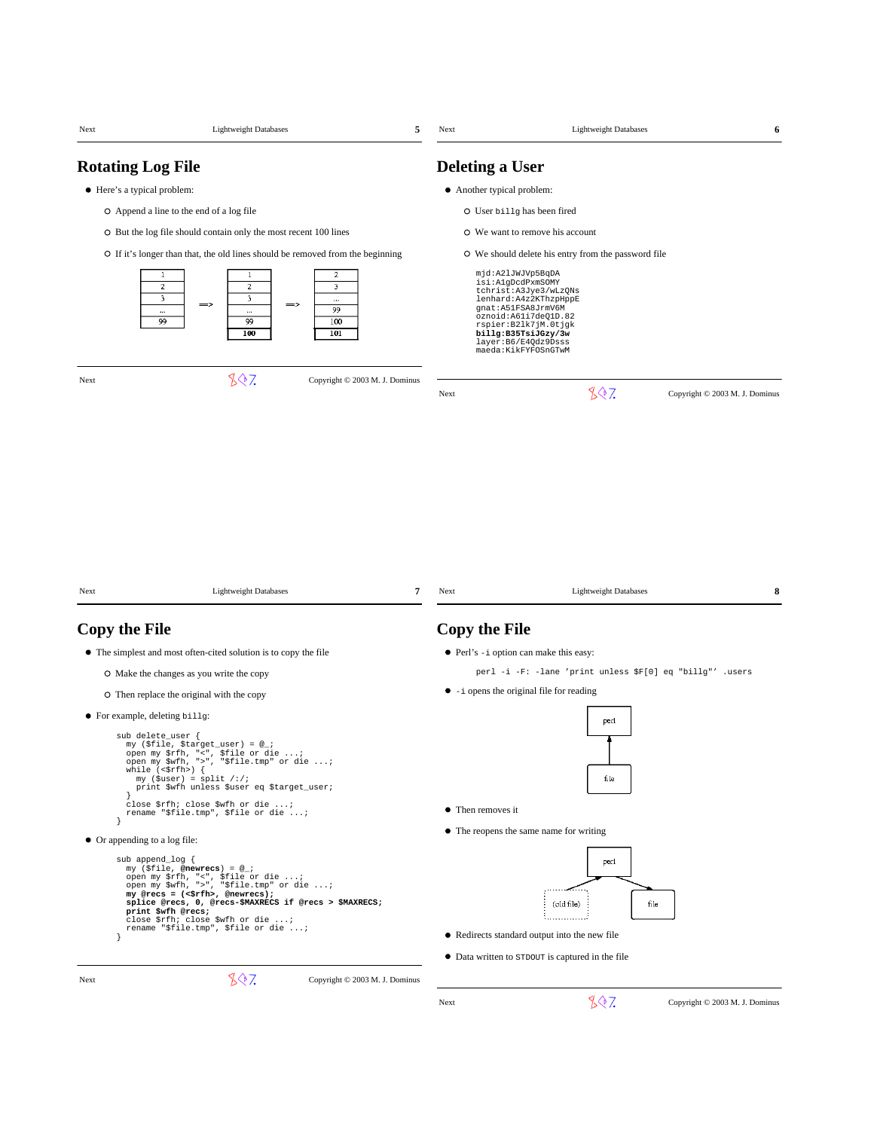| Next | <b>Lightweight Databases</b><br>5                                                                                                                                                                                                                                                                                                                                 | Next                   | <b>Lightweight Databases</b><br>6                                                                                                                                                                                                       |
|------|-------------------------------------------------------------------------------------------------------------------------------------------------------------------------------------------------------------------------------------------------------------------------------------------------------------------------------------------------------------------|------------------------|-----------------------------------------------------------------------------------------------------------------------------------------------------------------------------------------------------------------------------------------|
|      | <b>Rotating Log File</b>                                                                                                                                                                                                                                                                                                                                          | <b>Deleting a User</b> |                                                                                                                                                                                                                                         |
|      | • Here's a typical problem:                                                                                                                                                                                                                                                                                                                                       |                        | • Another typical problem:                                                                                                                                                                                                              |
|      | O Append a line to the end of a log file                                                                                                                                                                                                                                                                                                                          |                        | O User billg has been fired                                                                                                                                                                                                             |
|      | O But the log file should contain only the most recent 100 lines                                                                                                                                                                                                                                                                                                  |                        | O We want to remove his account                                                                                                                                                                                                         |
|      | O If it's longer than that, the old lines should be removed from the beginning                                                                                                                                                                                                                                                                                    |                        | O We should delete his entry from the password file                                                                                                                                                                                     |
|      | 1<br>2<br>1<br>$\overline{c}$<br>$\boldsymbol{2}$<br>3<br>3<br>$\overline{\mathbf{3}}$<br>$\cdots$<br>$\Rightarrow$<br>$\Rightarrow$<br>99<br><br>$\ddotsc$<br>99<br>99<br>100<br>100<br>101                                                                                                                                                                      |                        | mjd:A2lJWJVp5BqDA<br>isi:AlgDcdPxmSOMY<br>tchrist: A3Jye3/wLzQNs<br>lenhard: A4z2KThzpHppE<br>gnat: A51FSA8JrmV6M<br>oznoid:A61i7deQ1D.82<br>rspier:B21k7jM.Otjgk<br>billg:B35TsiJGzy/3w<br>layer: B6/E4Qdz9Dsss<br>maeda:KikFYFOSnGTwM |
| Next | 807<br>Copyright © 2003 M. J. Dominus                                                                                                                                                                                                                                                                                                                             |                        |                                                                                                                                                                                                                                         |
|      |                                                                                                                                                                                                                                                                                                                                                                   | Next                   | 807<br>Copyright © 2003 M. J. Dominus                                                                                                                                                                                                   |
| Next | <b>Lightweight Databases</b><br>7                                                                                                                                                                                                                                                                                                                                 | Next                   | 8<br><b>Lightweight Databases</b>                                                                                                                                                                                                       |
|      | <b>Copy the File</b>                                                                                                                                                                                                                                                                                                                                              | <b>Copy the File</b>   |                                                                                                                                                                                                                                         |
|      | • The simplest and most often-cited solution is to copy the file                                                                                                                                                                                                                                                                                                  |                        | • Perl's -i option can make this easy:                                                                                                                                                                                                  |
|      | O Make the changes as you write the copy                                                                                                                                                                                                                                                                                                                          |                        | perl -i -F: -lane 'print unless \$F[0] eq "billg"' .users                                                                                                                                                                               |
|      | O Then replace the original with the copy                                                                                                                                                                                                                                                                                                                         |                        | $\bullet$ -i opens the original file for reading                                                                                                                                                                                        |
|      | • For example, deleting billg:<br>sub delete_user {<br>my (\$file, \$target_user) = @_;<br>open my \$rfh, "<", \$file or die ;<br>open my \$wfh, ">", "\$file.tmp" or die ;<br>while $(\leq$ fh> $)$ {<br>$my$ (\$user) = split /:/;<br>print \$wfh unless \$user eq \$target_user;                                                                               |                        | perl<br>file                                                                                                                                                                                                                            |
|      | close \$rfh; close \$wfh or die ;<br>rename "\$file.tmp", \$file or die ;                                                                                                                                                                                                                                                                                         | • Then removes it      |                                                                                                                                                                                                                                         |
| }    | • Or appending to a log file:                                                                                                                                                                                                                                                                                                                                     |                        | • The reopens the same name for writing                                                                                                                                                                                                 |
| ł    | sub append_log {<br>my (\$file, @newrecs) = @_;<br>open my \$rfh, "<", \$file or die ;<br>open my \$wfh, ">", "\$file.tmp" or die ;<br>my @recs = $(\langle \text{srfh} \rangle, \text{@newrecs})$ ;<br>splice @recs, 0, @recs-\$MAXRECS if @recs > \$MAXRECS;<br>print \$wfh @recs;<br>close \$rfh; close \$wfh or die ;<br>rename "\$file.tmp", \$file or die ; |                        | per l<br>(old file)<br>file<br>• Redirects standard output into the new file<br>• Data written to strout is captured in the file                                                                                                        |
| Next | 807<br>Copyright © 2003 M. J. Dominus                                                                                                                                                                                                                                                                                                                             |                        |                                                                                                                                                                                                                                         |
|      |                                                                                                                                                                                                                                                                                                                                                                   | Next                   | 807<br>Copyright © 2003 M. J. Dominus                                                                                                                                                                                                   |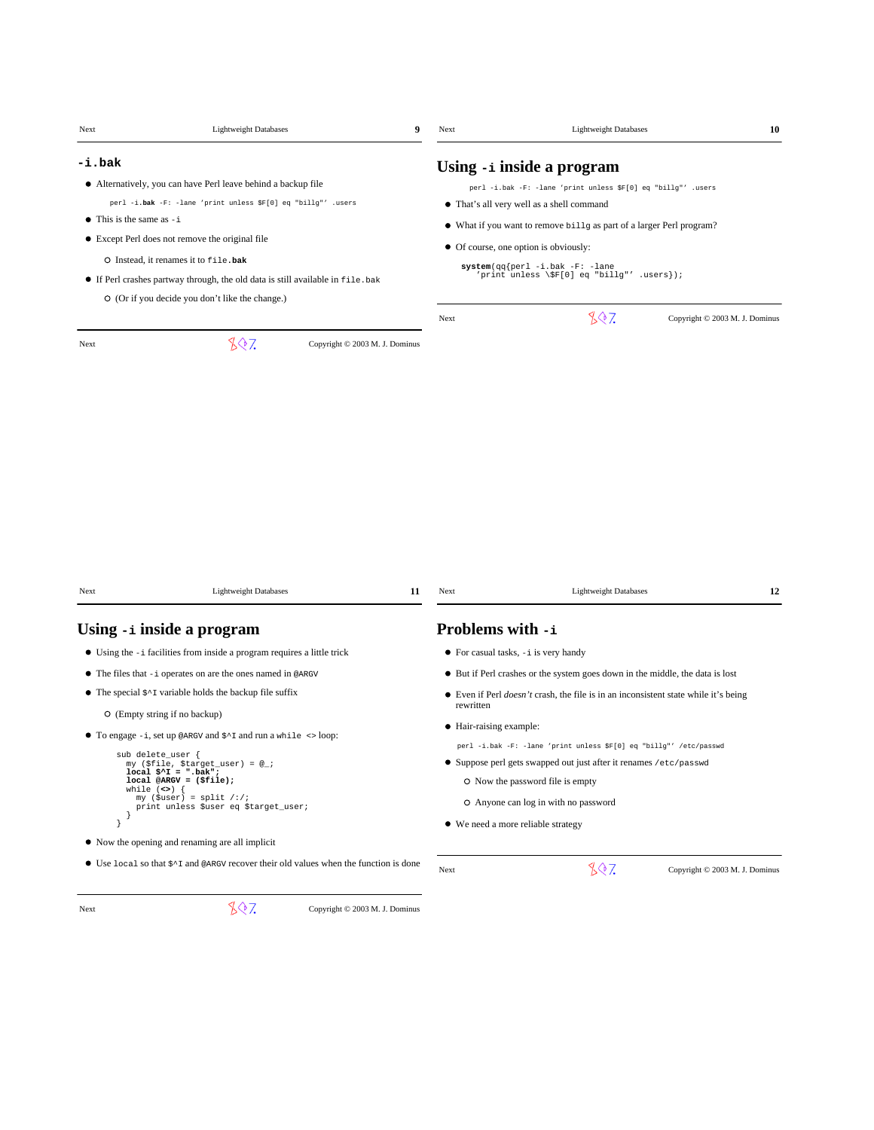| Next                               | <b>Lightweight Databases</b>                                                                       |                                | $\boldsymbol{9}$<br>Next |                                                                                            |                                |
|------------------------------------|----------------------------------------------------------------------------------------------------|--------------------------------|--------------------------|--------------------------------------------------------------------------------------------|--------------------------------|
| -i.bak                             |                                                                                                    |                                |                          | Using -i inside a program                                                                  |                                |
|                                    | • Alternatively, you can have Perl leave behind a backup file                                      |                                |                          | perl -i.bak -F: -lane 'print unless \$F[0] eq "billg"' .users                              |                                |
|                                    | perl -i.bak -F: -lane 'print unless \$F[0] eq "billg"' .users                                      |                                |                          | • That's all very well as a shell command                                                  |                                |
| $\bullet$ This is the same as $-i$ |                                                                                                    |                                |                          | • What if you want to remove billg as part of a larger Perl program?                       |                                |
|                                    | • Except Perl does not remove the original file                                                    |                                |                          |                                                                                            |                                |
|                                    | O Instead, it renames it to file.bak                                                               |                                |                          | • Of course, one option is obviously:                                                      |                                |
|                                    | • If Perl crashes partway through, the old data is still available in file.bak                     |                                |                          | $system(qq\{perl -i.bak -F: -lane$<br>'print unless \\$F[0] eq "billg"' .users});          |                                |
|                                    | O (Or if you decide you don't like the change.)                                                    |                                |                          |                                                                                            |                                |
|                                    |                                                                                                    |                                | Next                     | 807                                                                                        | Copyright © 2003 M. J. Dominus |
| Next                               | 807                                                                                                | Copyright © 2003 M. J. Dominus |                          |                                                                                            |                                |
|                                    |                                                                                                    |                                |                          |                                                                                            |                                |
|                                    |                                                                                                    |                                |                          |                                                                                            |                                |
|                                    |                                                                                                    |                                |                          |                                                                                            |                                |
|                                    |                                                                                                    |                                |                          |                                                                                            |                                |
|                                    |                                                                                                    |                                |                          |                                                                                            |                                |
|                                    |                                                                                                    |                                |                          |                                                                                            |                                |
|                                    |                                                                                                    |                                |                          |                                                                                            |                                |
|                                    |                                                                                                    |                                |                          |                                                                                            |                                |
|                                    |                                                                                                    |                                |                          |                                                                                            |                                |
|                                    |                                                                                                    |                                |                          |                                                                                            |                                |
|                                    |                                                                                                    |                                |                          |                                                                                            |                                |
|                                    |                                                                                                    |                                |                          |                                                                                            |                                |
|                                    | <b>Lightweight Databases</b>                                                                       |                                | 11<br>Next               | <b>Lightweight Databases</b>                                                               | 12                             |
|                                    |                                                                                                    |                                |                          |                                                                                            |                                |
|                                    | Using -i inside a program                                                                          |                                |                          | Problems with -i                                                                           |                                |
|                                    | • Using the $-i$ facilities from inside a program requires a little trick                          |                                |                          | $\bullet$ For casual tasks, $-i$ is very handy                                             |                                |
|                                    | • The files that -i operates on are the ones named in @ARGV                                        |                                |                          | • But if Perl crashes or the system goes down in the middle, the data is lost              |                                |
|                                    | • The special $\zeta \sim 1$ variable holds the backup file suffix                                 |                                |                          | • Even if Perl <i>doesn't</i> crash, the file is in an inconsistent state while it's being |                                |
|                                    | O (Empty string if no backup)                                                                      |                                | rewritten                |                                                                                            |                                |
|                                    |                                                                                                    |                                |                          | • Hair-raising example:                                                                    |                                |
|                                    | • To engage $-i$ , set up @ARGV and $\frac{x}{i}$ and run a while $\le$ loop:                      |                                |                          | perl -i.bak -F: -lane 'print unless \$F[0] eq "billg"' /etc/passwd                         |                                |
|                                    | sub delete_user {<br>my (\$file, \$target_user) = @_;<br>$local$ $$^T = "bak";$                    |                                |                          | Suppose perl gets swapped out just after it renames /etc/passwd                            |                                |
| while $(\le)$                      | $local @ARGV = ($file);$                                                                           |                                |                          | O Now the password file is empty                                                           |                                |
|                                    | my (\$user) = $split$ /:/;<br>print unless \$user eq \$target_user;                                |                                |                          | O Anyone can log in with no password                                                       |                                |
| - 1                                |                                                                                                    |                                |                          | • We need a more reliable strategy                                                         |                                |
|                                    | • Now the opening and renaming are all implicit                                                    |                                |                          |                                                                                            |                                |
|                                    |                                                                                                    |                                |                          |                                                                                            |                                |
|                                    | $\bullet$ Use local so that $\zeta^*$ and @ARGV recover their old values when the function is done |                                | Next                     | 807                                                                                        | Copyright © 2003 M. J. Dominus |
| Next                               | 807                                                                                                |                                |                          |                                                                                            |                                |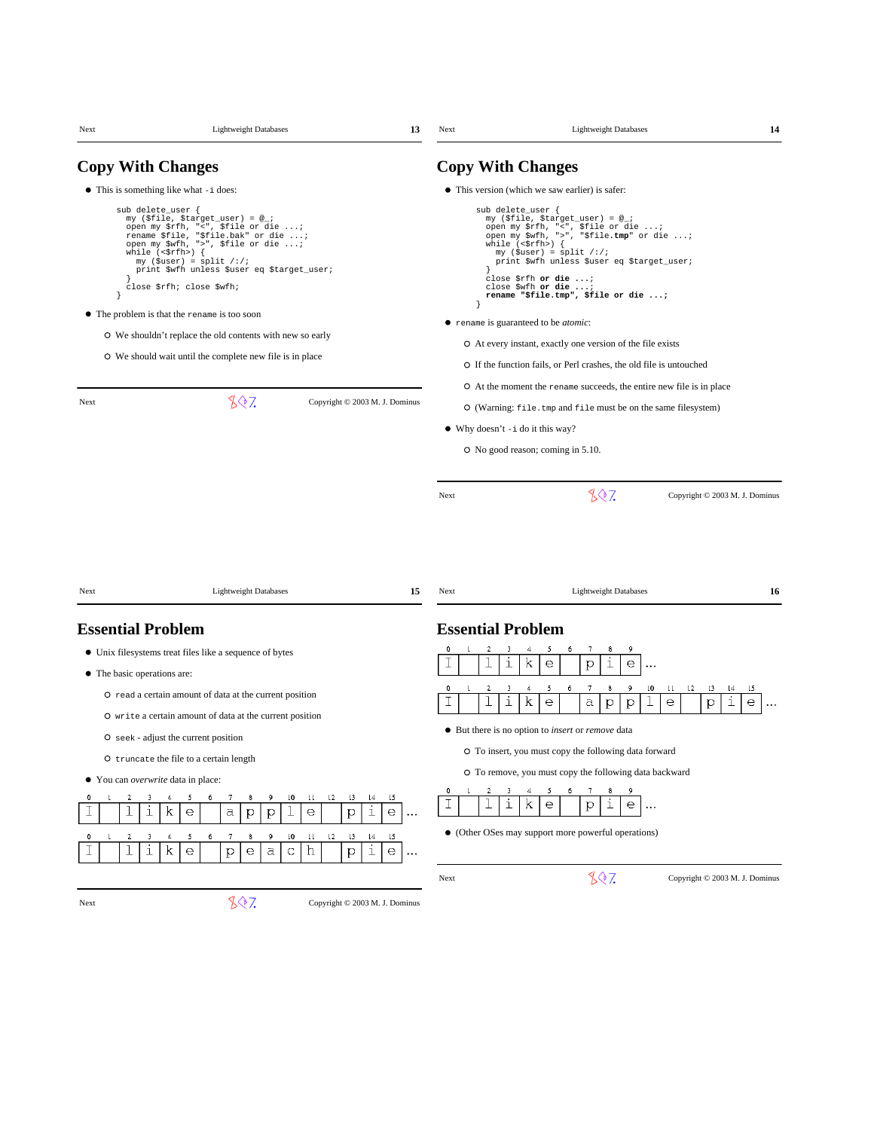| Next                        | <b>Lightweight Databases</b>                                                                                                                                                                                                                                                                                                                                                                                                                                                           | 13                                                                                                                                              | Next                     | <b>Lightweight Databases</b>                                                                                                                                                                                                                                                                                                                                                                                                                                                                                                | 14                                                          |
|-----------------------------|----------------------------------------------------------------------------------------------------------------------------------------------------------------------------------------------------------------------------------------------------------------------------------------------------------------------------------------------------------------------------------------------------------------------------------------------------------------------------------------|-------------------------------------------------------------------------------------------------------------------------------------------------|--------------------------|-----------------------------------------------------------------------------------------------------------------------------------------------------------------------------------------------------------------------------------------------------------------------------------------------------------------------------------------------------------------------------------------------------------------------------------------------------------------------------------------------------------------------------|-------------------------------------------------------------|
|                             | <b>Copy With Changes</b>                                                                                                                                                                                                                                                                                                                                                                                                                                                               |                                                                                                                                                 |                          | <b>Copy With Changes</b>                                                                                                                                                                                                                                                                                                                                                                                                                                                                                                    |                                                             |
|                             | • This is something like what -i does:                                                                                                                                                                                                                                                                                                                                                                                                                                                 |                                                                                                                                                 |                          | • This version (which we saw earlier) is safer:                                                                                                                                                                                                                                                                                                                                                                                                                                                                             |                                                             |
|                             | sub delete_user {<br>my (\$file, \$target_user) = @_;<br>open my \$rfh, "<", \$file or die ;<br>rename \$file, "\$file.bak" or die ;<br>open my \$wfh, ">", \$file or die ;<br>while $(\leq$ fh>) {<br>$my$ (\$user) = split /:/;<br>print \$wfh unless \$user eq \$target_user;<br>close \$rfh; close \$wfh;<br>• The problem is that the rename is too soon<br>O We shouldn't replace the old contents with new so early<br>O We should wait until the complete new file is in place |                                                                                                                                                 |                          | sub delete_user {<br>my (\$file, \$target_user) = @_;<br>open my \$rfh, "<", \$file or die ;<br>open my \$wfh, ">", "\$file.tmp" or die ;<br>while $(\leq$ fh>) {<br>$my$ (\$user) = split /:/;<br>print \$wfh unless \$user eq \$target_user;<br>close \$rfh or die ;<br>close \$wfh or die ;<br>rename "\$file.tmp", \$file or die ;<br>• rename is guaranteed to be <i>atomic</i> :<br>O At every instant, exactly one version of the file exists<br>O If the function fails, or Perl crashes, the old file is untouched |                                                             |
| Next                        | 807                                                                                                                                                                                                                                                                                                                                                                                                                                                                                    | Copyright © 2003 M. J. Dominus                                                                                                                  |                          | O At the moment the rename succeeds, the entire new file is in place<br>O (Warning: file.tmp and file must be on the same filesystem)                                                                                                                                                                                                                                                                                                                                                                                       |                                                             |
|                             |                                                                                                                                                                                                                                                                                                                                                                                                                                                                                        |                                                                                                                                                 |                          | $\bullet$ Why doesn't $-i$ do it this way?                                                                                                                                                                                                                                                                                                                                                                                                                                                                                  |                                                             |
|                             |                                                                                                                                                                                                                                                                                                                                                                                                                                                                                        |                                                                                                                                                 |                          | O No good reason; coming in 5.10.                                                                                                                                                                                                                                                                                                                                                                                                                                                                                           |                                                             |
|                             |                                                                                                                                                                                                                                                                                                                                                                                                                                                                                        |                                                                                                                                                 |                          |                                                                                                                                                                                                                                                                                                                                                                                                                                                                                                                             |                                                             |
|                             |                                                                                                                                                                                                                                                                                                                                                                                                                                                                                        |                                                                                                                                                 | Next                     | 807                                                                                                                                                                                                                                                                                                                                                                                                                                                                                                                         | Copyright © 2003 M. J. Dominus                              |
| Next                        | <b>Lightweight Databases</b>                                                                                                                                                                                                                                                                                                                                                                                                                                                           | 15                                                                                                                                              | Next                     | <b>Lightweight Databases</b>                                                                                                                                                                                                                                                                                                                                                                                                                                                                                                | 16                                                          |
| <b>Essential Problem</b>    |                                                                                                                                                                                                                                                                                                                                                                                                                                                                                        |                                                                                                                                                 | <b>Essential Problem</b> |                                                                                                                                                                                                                                                                                                                                                                                                                                                                                                                             |                                                             |
| • The basic operations are: | • Unix filesystems treat files like a sequence of bytes                                                                                                                                                                                                                                                                                                                                                                                                                                |                                                                                                                                                 | 0                        | 7<br>9<br>5<br>8<br>i<br>k<br>i<br>е<br>p<br>е<br>$\cdots$                                                                                                                                                                                                                                                                                                                                                                                                                                                                  |                                                             |
|                             | O read a certain amount of data at the current position<br>O write a certain amount of data at the current position                                                                                                                                                                                                                                                                                                                                                                    |                                                                                                                                                 | 0<br>2                   | 5<br>7<br>9<br>l0<br>3<br>6<br>8<br>u<br>i<br>k<br>е<br>a<br>е<br>$\mathbf{p}$<br>p                                                                                                                                                                                                                                                                                                                                                                                                                                         | $\mathsf{L}2$<br>15<br>13<br>14<br>i<br>p<br>е<br>$\ddotsc$ |
|                             | O seek - adjust the current position                                                                                                                                                                                                                                                                                                                                                                                                                                                   |                                                                                                                                                 |                          | • But there is no option to <i>insert</i> or <i>remove</i> data                                                                                                                                                                                                                                                                                                                                                                                                                                                             |                                                             |
|                             | O truncate the file to a certain length                                                                                                                                                                                                                                                                                                                                                                                                                                                |                                                                                                                                                 |                          | O To insert, you must copy the following data forward                                                                                                                                                                                                                                                                                                                                                                                                                                                                       |                                                             |
| ٠                           | You can overwrite data in place:                                                                                                                                                                                                                                                                                                                                                                                                                                                       |                                                                                                                                                 |                          | O To remove, you must copy the following data backward                                                                                                                                                                                                                                                                                                                                                                                                                                                                      |                                                             |
| 0<br>2                      | 7<br>8<br>9<br>5<br>6<br>i<br>k<br>$\alpha$<br>е<br>p<br>p                                                                                                                                                                                                                                                                                                                                                                                                                             | $\lfloor 4$<br>15<br>ſ0<br>$\mathbf{H}$<br>$\mathsf{L}2$<br>$\lfloor 3 \rfloor$<br>i<br>$\mathrel{\mathrm{e}}$<br>е<br>$\mathbf{p}$<br>$\ldots$ | 0<br>I                   | i<br>k<br>i<br>$\mathsf{e}$<br>е<br>р<br>$\ldots$                                                                                                                                                                                                                                                                                                                                                                                                                                                                           |                                                             |
| $\overline{c}$              | 9<br>3<br>5<br>7<br>8<br>i<br>k<br>$\mathrel{\mathrm{e}}$<br>a<br>$\rm p$<br>е                                                                                                                                                                                                                                                                                                                                                                                                         | ιo<br>u<br>12<br>L3<br>$\lfloor 4 \rfloor$<br>15<br>i<br>h<br>$\subset$<br>$\rm p$<br>е<br>$\ldots$                                             |                          | • (Other OSes may support more powerful operations)                                                                                                                                                                                                                                                                                                                                                                                                                                                                         |                                                             |
|                             |                                                                                                                                                                                                                                                                                                                                                                                                                                                                                        |                                                                                                                                                 | Next                     | 807                                                                                                                                                                                                                                                                                                                                                                                                                                                                                                                         | Copyright © 2003 M. J. Dominus                              |
| Next                        | 807                                                                                                                                                                                                                                                                                                                                                                                                                                                                                    | Copyright © 2003 M. J. Dominus                                                                                                                  |                          |                                                                                                                                                                                                                                                                                                                                                                                                                                                                                                                             |                                                             |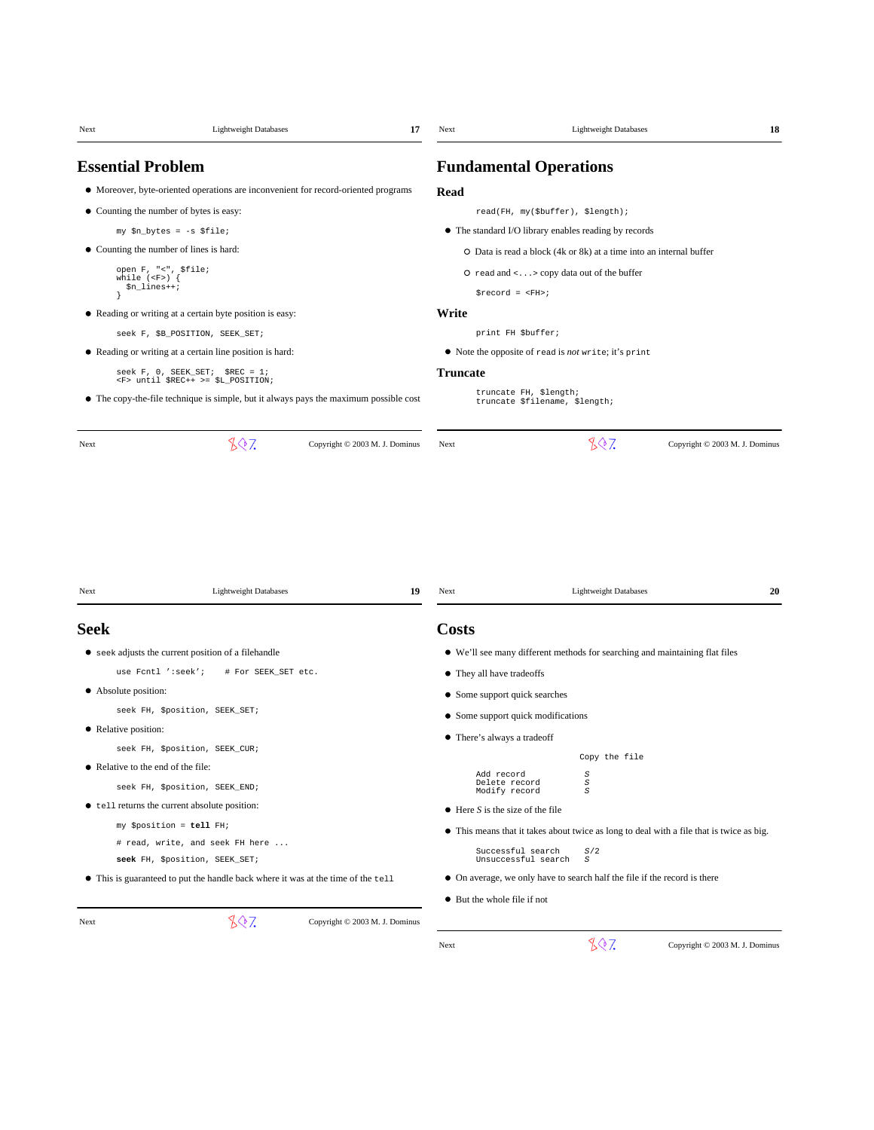| Next                     | <b>Lightweight Databases</b>                                                                                                        | 17                                   | Next            |                                                                           | <b>Lightweight Databases</b>        | 18                                                                                       |
|--------------------------|-------------------------------------------------------------------------------------------------------------------------------------|--------------------------------------|-----------------|---------------------------------------------------------------------------|-------------------------------------|------------------------------------------------------------------------------------------|
| <b>Essential Problem</b> |                                                                                                                                     |                                      |                 | <b>Fundamental Operations</b>                                             |                                     |                                                                                          |
|                          | • Moreover, byte-oriented operations are inconvenient for record-oriented programs                                                  |                                      | Read            |                                                                           |                                     |                                                                                          |
|                          | • Counting the number of bytes is easy:                                                                                             |                                      |                 | read(FH, my(\$buffer), \$length);                                         |                                     |                                                                                          |
|                          | my \$n_bytes = -s \$file;                                                                                                           |                                      |                 | • The standard I/O library enables reading by records                     |                                     |                                                                                          |
|                          | • Counting the number of lines is hard:                                                                                             |                                      |                 | O Data is read a block (4k or 8k) at a time into an internal buffer       |                                     |                                                                                          |
|                          | open F, "<", \$file;                                                                                                                |                                      |                 | O read and $\langle \ldots \rangle$ copy data out of the buffer           |                                     |                                                                                          |
|                          | while $(F)$ {<br>$$n_1ines++;$                                                                                                      |                                      |                 | $$record = $                                                              |                                     |                                                                                          |
|                          | • Reading or writing at a certain byte position is easy:                                                                            |                                      | Write           |                                                                           |                                     |                                                                                          |
|                          | seek F, \$B_POSITION, SEEK_SET;                                                                                                     |                                      |                 | print FH \$buffer;                                                        |                                     |                                                                                          |
|                          | • Reading or writing at a certain line position is hard:                                                                            |                                      |                 | • Note the opposite of read is not write; it's print                      |                                     |                                                                                          |
|                          | $seek F, 0, SEEK_SET; $REC = 1;$                                                                                                    |                                      | <b>Truncate</b> |                                                                           |                                     |                                                                                          |
|                          | <f> until \$REC++ &gt;= \$L_POSITION;<br/>• The copy-the-file technique is simple, but it always pays the maximum possible cost</f> |                                      |                 | truncate FH, \$length;<br>truncate \$filename, \$length;                  |                                     |                                                                                          |
| Next<br>Next             | 807<br>Lightweight Databases                                                                                                        | Copyright © 2003 M. J. Dominus<br>19 | Next<br>Next    |                                                                           | 807<br><b>Lightweight Databases</b> | Copyright © 2003 M. J. Dominus<br>20                                                     |
| <b>Seek</b>              |                                                                                                                                     |                                      | <b>Costs</b>    |                                                                           |                                     |                                                                                          |
|                          | • seek adjusts the current position of a filehandle                                                                                 |                                      |                 |                                                                           |                                     | • We'll see many different methods for searching and maintaining flat files              |
|                          | use Fcntl ':seek';<br># For SEEK_SET etc.                                                                                           |                                      |                 | • They all have tradeoffs                                                 |                                     |                                                                                          |
| • Absolute position:     |                                                                                                                                     |                                      |                 | • Some support quick searches                                             |                                     |                                                                                          |
|                          | seek FH, \$position, SEEK_SET;                                                                                                      |                                      |                 |                                                                           |                                     |                                                                                          |
| • Relative position:     |                                                                                                                                     |                                      |                 | • Some support quick modifications                                        |                                     |                                                                                          |
|                          | seek FH, \$position, SEEK_CUR;                                                                                                      |                                      |                 | • There's always a tradeoff                                               |                                     |                                                                                          |
|                          | • Relative to the end of the file:                                                                                                  |                                      |                 |                                                                           | Copy the file                       |                                                                                          |
|                          | seek FH, \$position, SEEK_END;                                                                                                      |                                      |                 | Add record<br>Delete record<br>Modify record                              | S<br>S<br>S                         |                                                                                          |
|                          | • tell returns the current absolute position:                                                                                       |                                      |                 | $\bullet$ Here <i>S</i> is the size of the file                           |                                     |                                                                                          |
|                          | my \$position = tell FH;                                                                                                            |                                      |                 |                                                                           |                                     |                                                                                          |
|                          | # read, write, and seek FH here                                                                                                     |                                      |                 |                                                                           |                                     | • This means that it takes about twice as long to deal with a file that is twice as big. |
|                          | seek FH, \$position, SEEK_SET;                                                                                                      |                                      |                 | Successful search<br>Unsuccessful search                                  | $\sqrt{S}/2$<br>$\cal S$            |                                                                                          |
|                          | • This is guaranteed to put the handle back where it was at the time of the tell                                                    |                                      |                 | • On average, we only have to search half the file if the record is there |                                     |                                                                                          |
|                          |                                                                                                                                     |                                      |                 | • But the whole file if not                                               |                                     |                                                                                          |
| Next                     | 807                                                                                                                                 | Copyright © 2003 M. J. Dominus       |                 |                                                                           |                                     |                                                                                          |
|                          |                                                                                                                                     |                                      | Next            |                                                                           | 807                                 | Copyright © 2003 M. J. Dominus                                                           |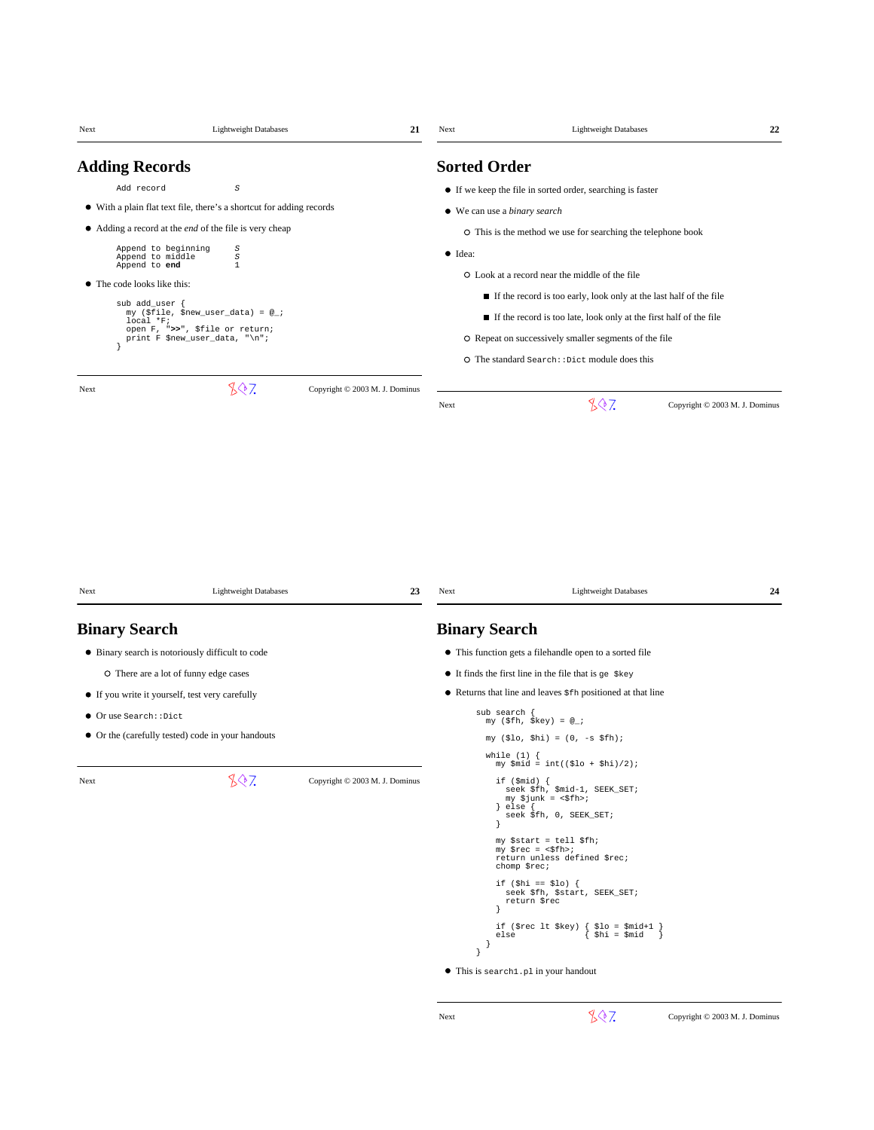| Next                        | <b>Lightweight Databases</b>                                         | 21                             | Next            | <b>Lightweight Databases</b>                                                                                                | 22 |
|-----------------------------|----------------------------------------------------------------------|--------------------------------|-----------------|-----------------------------------------------------------------------------------------------------------------------------|----|
| <b>Adding Records</b>       |                                                                      |                                |                 | <b>Sorted Order</b>                                                                                                         |    |
| Add record                  | S                                                                    |                                |                 | • If we keep the file in sorted order, searching is faster                                                                  |    |
|                             | • With a plain flat text file, there's a shortcut for adding records |                                |                 | • We can use a binary search                                                                                                |    |
|                             | • Adding a record at the <i>end</i> of the file is very cheap        |                                |                 | O This is the method we use for searching the telephone book                                                                |    |
|                             | Append to beginning<br>S<br>Append to middle<br>$\cal S$             |                                | $\bullet$ Idea: |                                                                                                                             |    |
|                             | Append to end<br>$\mathbf 1$                                         |                                |                 | O Look at a record near the middle of the file                                                                              |    |
| • The code looks like this: |                                                                      |                                |                 | If the record is too early, look only at the last half of the file                                                          |    |
|                             | sub add_user {<br>my (\$file, \$new_user_data) = @_;<br>$local *F$   |                                |                 | If the record is too late, look only at the first half of the file                                                          |    |
|                             | open F, ">>", \$file or return;<br>print F \$new_user_data, "\n";    |                                |                 | O Repeat on successively smaller segments of the file                                                                       |    |
|                             |                                                                      |                                |                 | O The standard Search: : Dict module does this                                                                              |    |
| Next                        | 807                                                                  | Copyright © 2003 M. J. Dominus |                 |                                                                                                                             |    |
|                             |                                                                      |                                | Next            | 807<br>Copyright © 2003 M. J. Dominus                                                                                       |    |
| Next                        | <b>Lightweight Databases</b>                                         | 23                             | Next            | <b>Lightweight Databases</b>                                                                                                | 24 |
| <b>Binary Search</b>        |                                                                      |                                |                 | <b>Binary Search</b>                                                                                                        |    |
|                             | • Binary search is notoriously difficult to code                     |                                |                 | • This function gets a filehandle open to a sorted file                                                                     |    |
|                             | O There are a lot of funny edge cases                                |                                |                 | $\bullet$ It finds the first line in the file that is ge $\frac{1}{2}$ key                                                  |    |
|                             | • If you write it yourself, test very carefully                      |                                |                 | • Returns that line and leaves $$fh$ positioned at that line                                                                |    |
| Or use Search::Dict         |                                                                      |                                |                 | sub search<br>my (\$fh, \$key) = $@_{i}$ ;                                                                                  |    |
|                             | • Or the (carefully tested) code in your handouts                    |                                |                 | $my ($lo, $hi) = (0, -s $fh);$                                                                                              |    |
|                             |                                                                      |                                |                 | while $(1)$ {<br>$my$ $$mid = int(($lo + $hi)/2);$                                                                          |    |
| Next                        | 807                                                                  | Copyright © 2003 M. J. Dominus |                 | if $(\text{$mid})$ {<br>seek \$fh, \$mid-1, SEEK_SET;<br>$my$ \$junk = <\$fh>;<br>$\}$ else $\{$<br>seek \$fh, 0, SEEK_SET; |    |
|                             |                                                                      |                                |                 | my \$start = tell \$fh;<br>$my$ \$rec = <\$fh>;<br>return unless defined \$rec;<br>chomp \$rec;                             |    |
|                             |                                                                      |                                |                 | if $(\frac{1}{2}h i == $10)$ {<br>seek \$fh, \$start, SEEK_SET;<br>return \$rec                                             |    |
|                             |                                                                      |                                | 1               | if (\$rec lt \$key)<br>$\{$ \$10 = \$mid+1 }<br>{ \$hi = \$mid<br>else<br>-1                                                |    |
|                             |                                                                      |                                |                 | ● This is search1.p1 in your handout                                                                                        |    |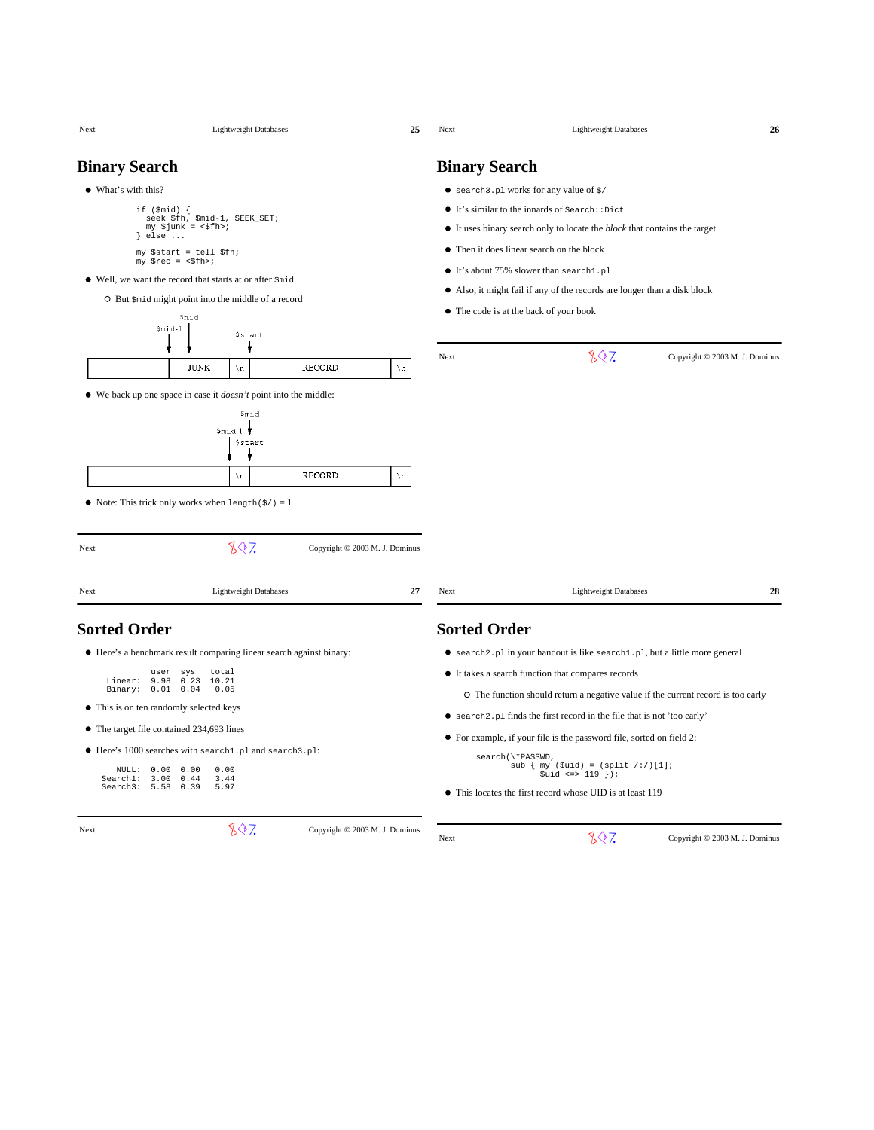| Next                 | <b>Lightweight Databases</b>                                            | 25                             | Next                 | <b>Lightweight Databases</b>                                                     | 26                             |
|----------------------|-------------------------------------------------------------------------|--------------------------------|----------------------|----------------------------------------------------------------------------------|--------------------------------|
| <b>Binary Search</b> |                                                                         |                                | <b>Binary Search</b> |                                                                                  |                                |
| • What's with this?  |                                                                         |                                |                      | $\bullet$ search 3. pl works for any value of $\frac{1}{2}$                      |                                |
|                      | if $(\text{$mid})$ {                                                    |                                |                      | It's similar to the innards of Search: : Dict                                    |                                |
|                      | seek \$fh, \$mid-1, SEEK_SET;<br>$my$ \$junk = <\$fh>;                  |                                |                      | • It uses binary search only to locate the <i>block</i> that contains the target |                                |
| } else               | $\cdots$                                                                |                                |                      | • Then it does linear search on the block                                        |                                |
|                      | my \$start = tell \$fh;<br>$my$ \$rec = <\$fh>;                         |                                |                      |                                                                                  |                                |
|                      | • Well, we want the record that starts at or after \$mid                |                                |                      | • It's about 75% slower than search1.pl                                          |                                |
|                      | O But \$mid might point into the middle of a record                     |                                |                      | • Also, it might fail if any of the records are longer than a disk block         |                                |
|                      | \$mid                                                                   |                                |                      | • The code is at the back of your book                                           |                                |
|                      | \$mid-1<br>Sstart                                                       |                                |                      |                                                                                  |                                |
|                      |                                                                         |                                | Next                 | 807                                                                              | Copyright © 2003 M. J. Dominus |
|                      | <b>JUNK</b><br>$\n\lambda$ n                                            | <b>RECORD</b><br>$\verb \n $   |                      |                                                                                  |                                |
|                      | • We back up one space in case it <i>doesn't</i> point into the middle: |                                |                      |                                                                                  |                                |
|                      | Smid                                                                    |                                |                      |                                                                                  |                                |
|                      | \$mid-l                                                                 |                                |                      |                                                                                  |                                |
|                      | Sstart                                                                  |                                |                      |                                                                                  |                                |
|                      | $\setminus$ n                                                           | <b>RECORD</b><br>$\mathbf n$   |                      |                                                                                  |                                |
|                      |                                                                         |                                |                      |                                                                                  |                                |
|                      | • Note: This trick only works when $l$ ength $(\frac{2}{7}) = 1$        |                                |                      |                                                                                  |                                |
|                      |                                                                         |                                |                      |                                                                                  |                                |
| Next                 | 807                                                                     | Copyright © 2003 M. J. Dominus |                      |                                                                                  |                                |
|                      |                                                                         |                                |                      |                                                                                  |                                |
| Next                 | <b>Lightweight Databases</b>                                            | 27                             | Next                 | <b>Lightweight Databases</b>                                                     | 28                             |
| <b>Sorted Order</b>  |                                                                         |                                | <b>Sorted Order</b>  |                                                                                  |                                |
|                      |                                                                         |                                |                      |                                                                                  |                                |
|                      | • Here's a benchmark result comparing linear search against binary:     |                                |                      | • search2.pl in your handout is like search1.pl, but a little more general       |                                |
| Linear:              | total<br>user<br>sys<br>9.98<br>0.23<br>10.21                           |                                |                      | • It takes a search function that compares records                               |                                |
| Binary: 0.01 0.04    | 0.05                                                                    |                                |                      | O The function should return a negative value if the current record is too early |                                |
|                      | • This is on ten randomly selected keys                                 |                                |                      | • search2.pl finds the first record in the file that is not 'too early'          |                                |
|                      | • The target file contained 234,693 lines                               |                                |                      | • For example, if your file is the password file, sorted on field 2:             |                                |
|                      | ● Here's 1000 searches with search1.pl and search3.pl:                  |                                |                      | search(\*PASSWD,                                                                 |                                |
| NULL:<br>Search1:    | 0.00<br>0.00<br>0.00<br>3.00<br>0.44<br>3.44                            |                                |                      | sub $\{ my ($uid) = (split / : /)[1];$<br>$$uid \iff 119 \}$                     |                                |
| Search3:             | 5.58<br>0.39<br>5.97                                                    |                                |                      | • This locates the first record whose UID is at least 119                        |                                |
|                      |                                                                         |                                |                      |                                                                                  |                                |
| Next                 | 807                                                                     | Copyright © 2003 M. J. Dominus | Next                 | 807.                                                                             | Copyright © 2003 M. J. Dominus |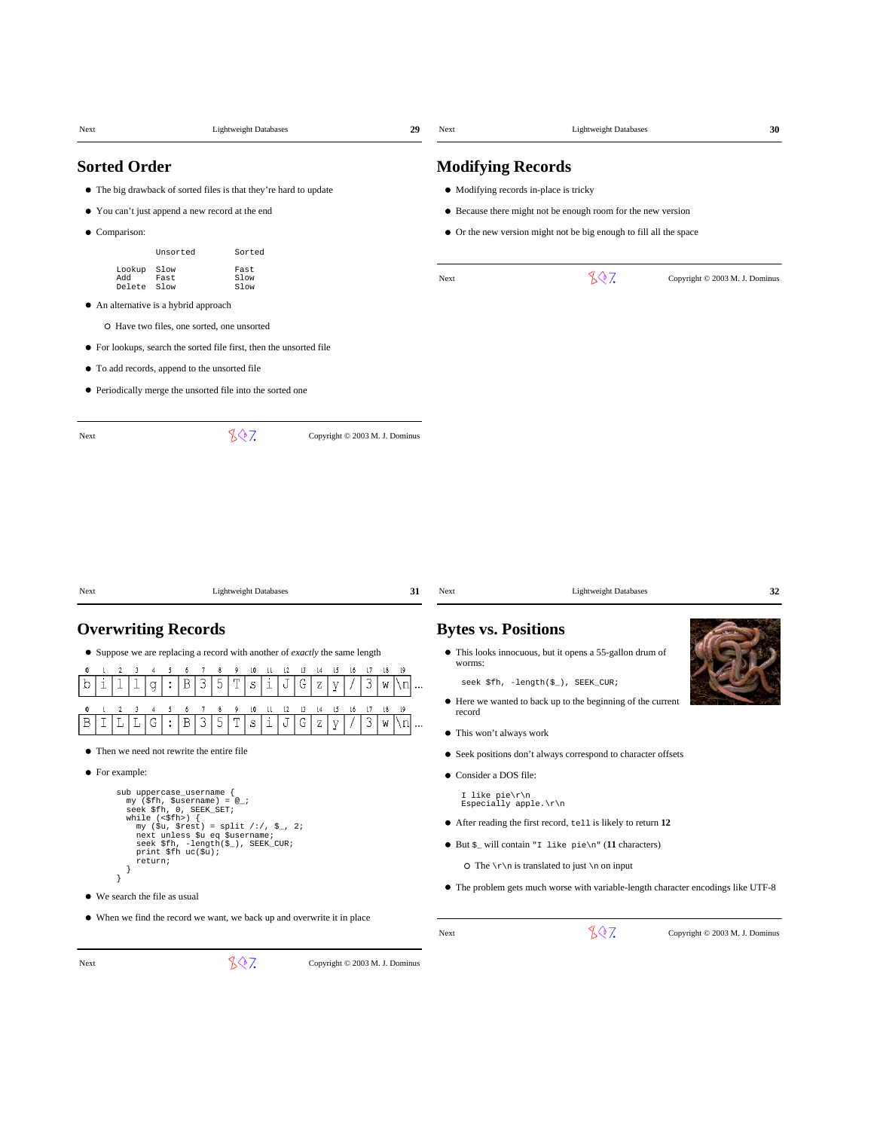| Next                               |                                                                                             | <b>Lightweight Databases</b>                                                                                            | 29                           | Next                       | <b>Lightweight Databases</b>                                                      | 30                             |
|------------------------------------|---------------------------------------------------------------------------------------------|-------------------------------------------------------------------------------------------------------------------------|------------------------------|----------------------------|-----------------------------------------------------------------------------------|--------------------------------|
| <b>Sorted Order</b>                |                                                                                             |                                                                                                                         |                              | <b>Modifying Records</b>   |                                                                                   |                                |
|                                    | • The big drawback of sorted files is that they're hard to update                           |                                                                                                                         |                              |                            | • Modifying records in-place is tricky                                            |                                |
|                                    | • You can't just append a new record at the end                                             |                                                                                                                         |                              |                            | • Because there might not be enough room for the new version                      |                                |
| • Comparison:                      |                                                                                             |                                                                                                                         |                              |                            | • Or the new version might not be big enough to fill all the space                |                                |
|                                    | Unsorted                                                                                    | Sorted                                                                                                                  |                              |                            |                                                                                   |                                |
| Lookup<br>Add<br>Delete            | Slow<br>Fast<br>Fast<br>Slow<br>Slow<br>Slow                                                |                                                                                                                         |                              | Next                       | 807                                                                               | Copyright © 2003 M. J. Dominus |
|                                    | • An alternative is a hybrid approach                                                       |                                                                                                                         |                              |                            |                                                                                   |                                |
|                                    | O Have two files, one sorted, one unsorted                                                  |                                                                                                                         |                              |                            |                                                                                   |                                |
|                                    | • For lookups, search the sorted file first, then the unsorted file                         |                                                                                                                         |                              |                            |                                                                                   |                                |
|                                    | • To add records, append to the unsorted file                                               |                                                                                                                         |                              |                            |                                                                                   |                                |
|                                    | • Periodically merge the unsorted file into the sorted one                                  |                                                                                                                         |                              |                            |                                                                                   |                                |
| Next                               | 807                                                                                         | Copyright © 2003 M. J. Dominus                                                                                          |                              |                            |                                                                                   |                                |
|                                    |                                                                                             |                                                                                                                         |                              |                            |                                                                                   |                                |
| Next                               |                                                                                             | <b>Lightweight Databases</b>                                                                                            | 31                           | Next                       | <b>Lightweight Databases</b>                                                      | 32                             |
|                                    | <b>Overwriting Records</b>                                                                  |                                                                                                                         |                              | <b>Bytes vs. Positions</b> |                                                                                   |                                |
|                                    |                                                                                             | • Suppose we are replacing a record with another of <i>exactly</i> the same length                                      |                              |                            | • This looks innocuous, but it opens a 55-gallon drum of                          |                                |
| 0                                  | $\tau$<br>8<br>9<br>-5<br>6<br>5<br>Β<br>3                                                  | 10<br>П<br>$\lfloor 2 \rfloor$<br>$\begin{array}{c} 13 \end{array}$<br>$\lfloor 4 \rfloor$<br>15<br>16<br>$\mathsf{I}7$ | $^{18}$<br>$\sqrt{9}$        | worms:                     | seek \$fh, -length(\$_), SEEK_CUR;                                                |                                |
| $\mathbf 1$<br>O                   | :<br>q                                                                                      | G<br>3<br>S<br>J<br>Ζ<br>У<br>ı                                                                                         | ۱n<br>W<br>$\ddotsc$         |                            | • Here we wanted to back up to the beginning of the current                       |                                |
| 0                                  | 8<br>q<br>-6<br>5<br>3<br>T<br>Β<br>G<br>:                                                  | 13<br> 4<br>15<br>$\sqrt{7}$<br>10<br>Ш<br>$\mathsf{L}2$<br>16<br>3<br>i<br>G<br>S<br>J<br>$\rm{Z}$<br>У                | $\lfloor 9$<br>18<br>W<br>۱n | record                     |                                                                                   |                                |
|                                    |                                                                                             |                                                                                                                         |                              | • This won't always work   |                                                                                   |                                |
|                                    | Then we need not rewrite the entire file                                                    |                                                                                                                         |                              |                            | • Seek positions don't always correspond to character offsets                     |                                |
| • For example:                     |                                                                                             |                                                                                                                         |                              | • Consider a DOS file:     |                                                                                   |                                |
|                                    | sub uppercase_username {<br>$my$ (\$fh, \$username) = $@_{i}$ ;<br>seek \$fh, 0, SEEK_SET;  |                                                                                                                         |                              | I like pie\r\n             | Especially apple.\r\n                                                             |                                |
|                                    | while $(\langle \$fh \rangle)$ {<br>my (\$u, \$rest) = split /:/, \$_, 2;                   |                                                                                                                         |                              |                            | • After reading the first record, tell is likely to return 12                     |                                |
|                                    | next unless \$u eq \$username;<br>seek \$fh, -length(\$_), SEEK_CUR;<br>print \$fh uc(\$u); |                                                                                                                         |                              |                            | $\bullet$ But $\zeta$ will contain "I like pie\n" (11 characters)                 |                                |
| -ł                                 | return;                                                                                     |                                                                                                                         |                              |                            | O The $\r \in \mathbb{R}$ is translated to just $\n \in \mathbb{R}$               |                                |
| }<br>• We search the file as usual |                                                                                             |                                                                                                                         |                              |                            | • The problem gets much worse with variable-length character encodings like UTF-8 |                                |
|                                    |                                                                                             | • When we find the record we want, we back up and overwrite it in place                                                 |                              |                            |                                                                                   |                                |
|                                    |                                                                                             |                                                                                                                         |                              | Next                       | 807                                                                               | Copyright © 2003 M. J. Dominus |

Next  $\sqrt{3}$  Copyright © 2003 M. J. Dominus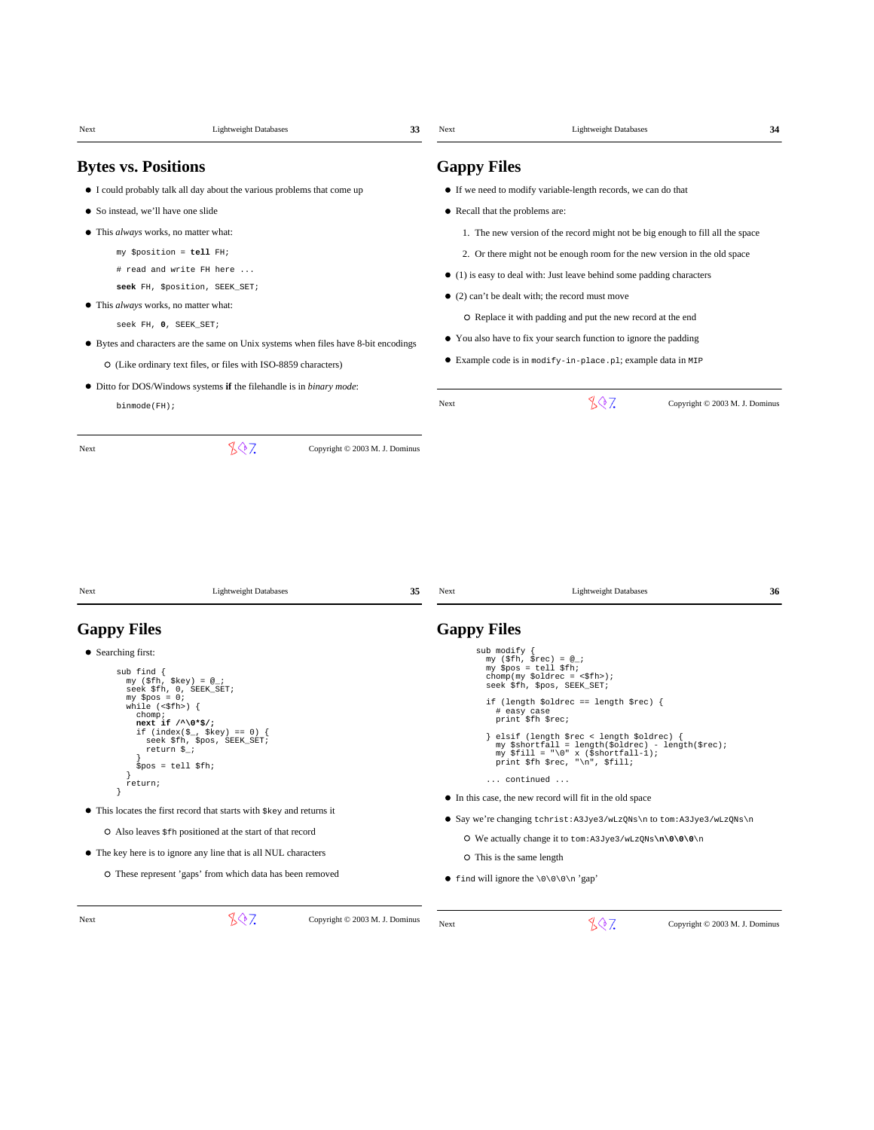|                                                                                          |                                                                    | 33                                                                                  | Next                                                                                                                             | <b>Lightweight Databases</b>                                                                                                                                             | 34                             |  |
|------------------------------------------------------------------------------------------|--------------------------------------------------------------------|-------------------------------------------------------------------------------------|----------------------------------------------------------------------------------------------------------------------------------|--------------------------------------------------------------------------------------------------------------------------------------------------------------------------|--------------------------------|--|
| <b>Bytes vs. Positions</b>                                                               |                                                                    |                                                                                     | <b>Gappy Files</b>                                                                                                               |                                                                                                                                                                          |                                |  |
| • I could probably talk all day about the various problems that come up                  |                                                                    |                                                                                     |                                                                                                                                  | • If we need to modify variable-length records, we can do that                                                                                                           |                                |  |
| • So instead, we'll have one slide                                                       |                                                                    |                                                                                     | • Recall that the problems are:                                                                                                  |                                                                                                                                                                          |                                |  |
| • This <i>always</i> works, no matter what:                                              |                                                                    |                                                                                     |                                                                                                                                  | 1. The new version of the record might not be big enough to fill all the space                                                                                           |                                |  |
| my \$position = tell FH;                                                                 |                                                                    |                                                                                     |                                                                                                                                  | 2. Or there might not be enough room for the new version in the old space                                                                                                |                                |  |
| # read and write FH here                                                                 |                                                                    |                                                                                     |                                                                                                                                  | $\bullet$ (1) is easy to deal with: Just leave behind some padding characters                                                                                            |                                |  |
| seek FH, \$position, SEEK_SET;                                                           |                                                                    |                                                                                     |                                                                                                                                  | • (2) can't be dealt with; the record must move                                                                                                                          |                                |  |
| • This <i>always</i> works, no matter what:                                              |                                                                    |                                                                                     |                                                                                                                                  |                                                                                                                                                                          |                                |  |
| seek FH, 0, SEEK_SET;                                                                    |                                                                    |                                                                                     | O Replace it with padding and put the new record at the end<br>• You also have to fix your search function to ignore the padding |                                                                                                                                                                          |                                |  |
|                                                                                          |                                                                    | • Bytes and characters are the same on Unix systems when files have 8-bit encodings |                                                                                                                                  |                                                                                                                                                                          |                                |  |
| O (Like ordinary text files, or files with ISO-8859 characters)                          |                                                                    |                                                                                     |                                                                                                                                  | • Example code is in modify-in-place.pl; example data in MIP                                                                                                             |                                |  |
| • Ditto for DOS/Windows systems if the filehandle is in binary mode:                     |                                                                    |                                                                                     | Next                                                                                                                             | 807                                                                                                                                                                      | Copyright © 2003 M. J. Dominus |  |
| $binmode(FH)$ ;                                                                          |                                                                    |                                                                                     |                                                                                                                                  |                                                                                                                                                                          |                                |  |
| Next                                                                                     | 807                                                                | Copyright © 2003 M. J. Dominus                                                      |                                                                                                                                  |                                                                                                                                                                          |                                |  |
|                                                                                          |                                                                    |                                                                                     |                                                                                                                                  |                                                                                                                                                                          |                                |  |
|                                                                                          | <b>Lightweight Databases</b>                                       | 35                                                                                  | Next                                                                                                                             | <b>Lightweight Databases</b>                                                                                                                                             | 36                             |  |
| Next<br><b>Gappy Files</b>                                                               |                                                                    |                                                                                     | <b>Gappy Files</b>                                                                                                               |                                                                                                                                                                          |                                |  |
| • Searching first:<br>sub find {<br>my (\$fh, \$key) = $@_{i}$ ;                         |                                                                    |                                                                                     | sub modify {                                                                                                                     | my (\$fh, \$rec) = $@_{i}$ ;<br>my \$pos = tell \$fh;<br>chomp(my \$oldrec = $\langle$ \$fh>);                                                                           |                                |  |
| seek \$fh, 0, SEEK_SET;<br>$my$ \$pos = 0;<br>while $(\langle \$ fh \rangle) {<br>chomp; |                                                                    |                                                                                     |                                                                                                                                  | seek \$fh, \$pos, SEEK_SET;<br>if (length \$oldrec == length \$rec) {<br># easy case<br>print \$fh \$rec;                                                                |                                |  |
| next if $/^1$ ( $*$ \$/;<br>return \$_;                                                  | if (index( $\S_$ , $%$ key) == 0) {<br>seek \$fh, \$pos, SEEK_SET; |                                                                                     |                                                                                                                                  | elsif (length \$rec < length \$oldrec) {<br>my \$shortfall = length(\$oldrec) - length(\$rec);<br>my \$fill = "\0" x (\$shortfall-1);<br>print \$fh \$rec, "\n", \$fill; |                                |  |
| $$pos = tell $fh;$<br>return;                                                            |                                                                    |                                                                                     |                                                                                                                                  | continued                                                                                                                                                                |                                |  |
|                                                                                          |                                                                    |                                                                                     |                                                                                                                                  | • In this case, the new record will fit in the old space                                                                                                                 |                                |  |
| • This locates the first record that starts with \$key and returns it                    |                                                                    |                                                                                     |                                                                                                                                  | • Say we're changing tchrist: A3Jye3/wLzQNs\n to tom: A3Jye3/wLzQNs\n                                                                                                    |                                |  |
| O Also leaves \$fh positioned at the start of that record                                |                                                                    |                                                                                     |                                                                                                                                  | O We actually change it to tom: A3Jye3/wLzQNs\n\0\0\0\n                                                                                                                  |                                |  |
| • The key here is to ignore any line that is all NUL characters                          |                                                                    |                                                                                     |                                                                                                                                  | O This is the same length                                                                                                                                                |                                |  |
| O These represent 'gaps' from which data has been removed                                |                                                                    |                                                                                     |                                                                                                                                  | • find will ignore the $\000\$ n'gap'                                                                                                                                    |                                |  |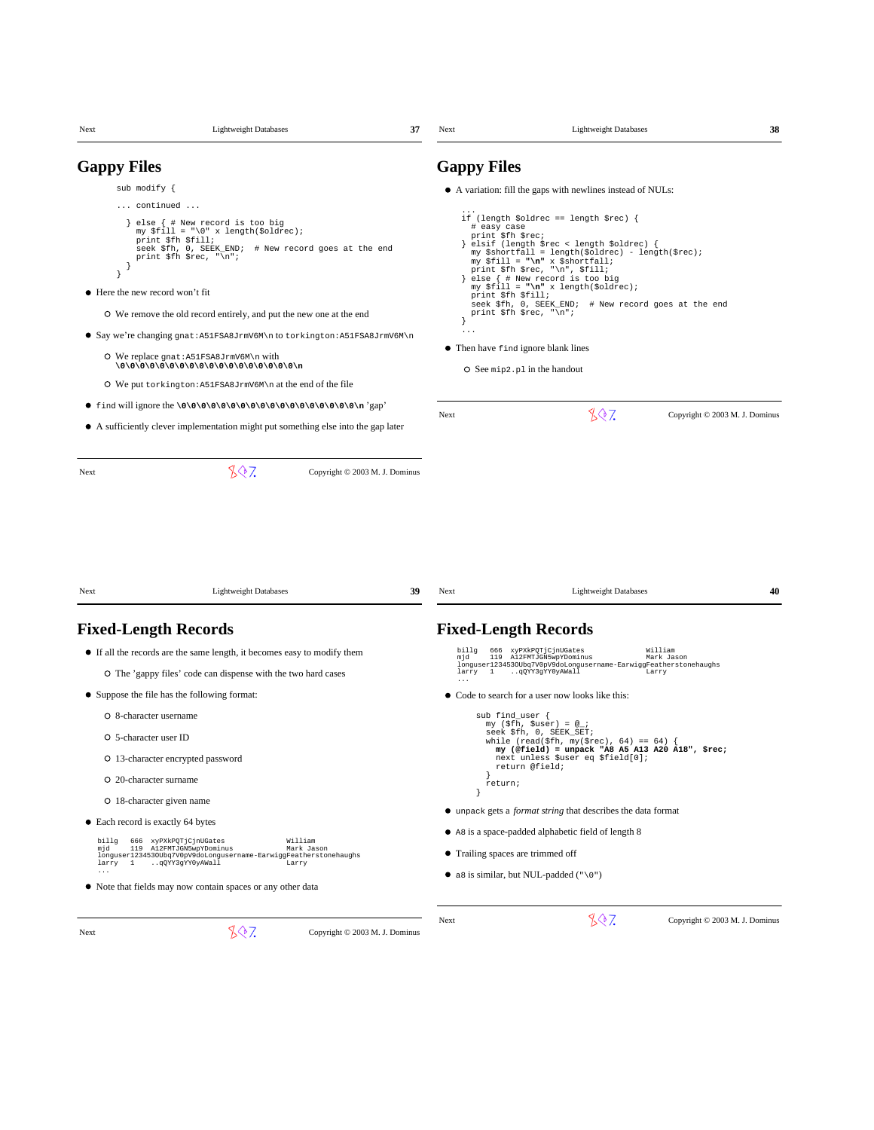| <b>Gappy Files</b>                |                                                                                                                                                                                   |    | <b>Gappy Files</b>                |                                                                                                                                                                                                                                                      |                                |
|-----------------------------------|-----------------------------------------------------------------------------------------------------------------------------------------------------------------------------------|----|-----------------------------------|------------------------------------------------------------------------------------------------------------------------------------------------------------------------------------------------------------------------------------------------------|--------------------------------|
| sub modify {                      |                                                                                                                                                                                   |    |                                   | • A variation: fill the gaps with newlines instead of NULs:                                                                                                                                                                                          |                                |
|                                   | continued                                                                                                                                                                         |    |                                   |                                                                                                                                                                                                                                                      |                                |
|                                   | } else { # New record is too big<br>my $$fill = "\0" x length($oldrec);$<br>print \$fh \$fill;<br>seek \$fh, 0, SEEK_END; # New record goes at the end<br>print \$fh \$rec, "\n"; |    | # easy case<br>print \$fh \$rec;  | if (length \$oldrec == length \$rec) {<br>} elsif (length \$rec < length \$oldrec) {<br>my \$shortfall = length(\$oldrec) - length(\$rec);<br>my \$fill = "\n" x \$shortfall;<br>print \$fh \$rec, "\n", \$fill;<br>} else { # New record is too big |                                |
| • Here the new record won't fit   |                                                                                                                                                                                   |    | print \$fh \$fill;                | my $$fill = "\n" x length ($oldrec);$                                                                                                                                                                                                                |                                |
|                                   | O We remove the old record entirely, and put the new one at the end                                                                                                               |    |                                   | seek \$fh, 0, SEEK_END; # New record goes at the end<br>print \$fh \$rec, "\n";                                                                                                                                                                      |                                |
|                                   | ● Say we're changing gnat: A51FSA8JrmV6M\n to torkington: A51FSA8JrmV6M\n                                                                                                         |    |                                   |                                                                                                                                                                                                                                                      |                                |
|                                   | O We replace gnat: A51FSA8JrmV6M\n with                                                                                                                                           |    |                                   | • Then have find ignore blank lines                                                                                                                                                                                                                  |                                |
|                                   | O We put torkington: $A51FSA8Jr mV6M \nabla$ at the end of the file                                                                                                               |    |                                   | O See mip2.p1 in the handout                                                                                                                                                                                                                         |                                |
|                                   |                                                                                                                                                                                   |    |                                   |                                                                                                                                                                                                                                                      |                                |
|                                   | • A sufficiently clever implementation might put something else into the gap later                                                                                                |    | Next                              | 807                                                                                                                                                                                                                                                  | Copyright © 2003 M. J. Dominus |
|                                   |                                                                                                                                                                                   |    |                                   |                                                                                                                                                                                                                                                      |                                |
|                                   |                                                                                                                                                                                   |    |                                   |                                                                                                                                                                                                                                                      |                                |
|                                   | <b>Lightweight Databases</b>                                                                                                                                                      | 39 | Next                              | <b>Lightweight Databases</b>                                                                                                                                                                                                                         | 40                             |
|                                   | <b>Fixed-Length Records</b>                                                                                                                                                       |    |                                   | <b>Fixed-Length Records</b>                                                                                                                                                                                                                          |                                |
|                                   | • If all the records are the same length, it becomes easy to modify them                                                                                                          |    | billg<br>mjd                      | 666 xyPXkPQTjCjnUGates                                                                                                                                                                                                                               | William<br>Mark Jason          |
|                                   | O The 'gappy files' code can dispense with the two hard cases                                                                                                                     |    | .                                 | 119 A12FMTJGN5wpYDominus<br>longuser1234530Ubq7V0pV9doLongusername-EarwiggFeatherstonehaughs<br>larry 1 qQYY3gYY0yAWall                                                                                                                              | Larry                          |
|                                   | • Suppose the file has the following format:                                                                                                                                      |    |                                   | • Code to search for a user now looks like this:                                                                                                                                                                                                     |                                |
| O 8-character username            |                                                                                                                                                                                   |    | sub find_user {                   |                                                                                                                                                                                                                                                      |                                |
| O 5-character user ID             |                                                                                                                                                                                   |    |                                   | my $(\$fh, $user) = @_{i}$<br>seek \$fh, 0, SEEK SET;<br>while (read(\$fh, my(\$rec), 64) == 64) {                                                                                                                                                   |                                |
|                                   | O 13-character encrypted password                                                                                                                                                 |    |                                   | my (@field) = unpack "A8 A5 A13 A20 A18", \$rec;<br>next unless \$user eq \$field[0];<br>return @field;                                                                                                                                              |                                |
| O 20-character surname            |                                                                                                                                                                                   |    | return;                           |                                                                                                                                                                                                                                                      |                                |
| Next                              | O 18-character given name                                                                                                                                                         |    |                                   | • unpack gets a <i>format string</i> that describes the data format                                                                                                                                                                                  |                                |
| • Each record is exactly 64 bytes |                                                                                                                                                                                   |    |                                   | • As is a space-padded alphabetic field of length 8                                                                                                                                                                                                  |                                |
| billg<br>mjd                      | 666 xyPXkPQTjCjnUGates<br>William<br>119 A12FMTJGN5wpYDominus<br>Mark Jason<br>longuser1234530Ubq7V0pV9doLongusername-EarwiggFeatherstonehaughs                                   |    | • Trailing spaces are trimmed off |                                                                                                                                                                                                                                                      |                                |
| larry<br>$\mathbf{1}$             | qQYY3gYY0yAWall<br>Larry                                                                                                                                                          |    |                                   | • a8 is similar, but NUL-padded $(\sqrt{0})$                                                                                                                                                                                                         |                                |
|                                   | • Note that fields may now contain spaces or any other data                                                                                                                       |    |                                   |                                                                                                                                                                                                                                                      |                                |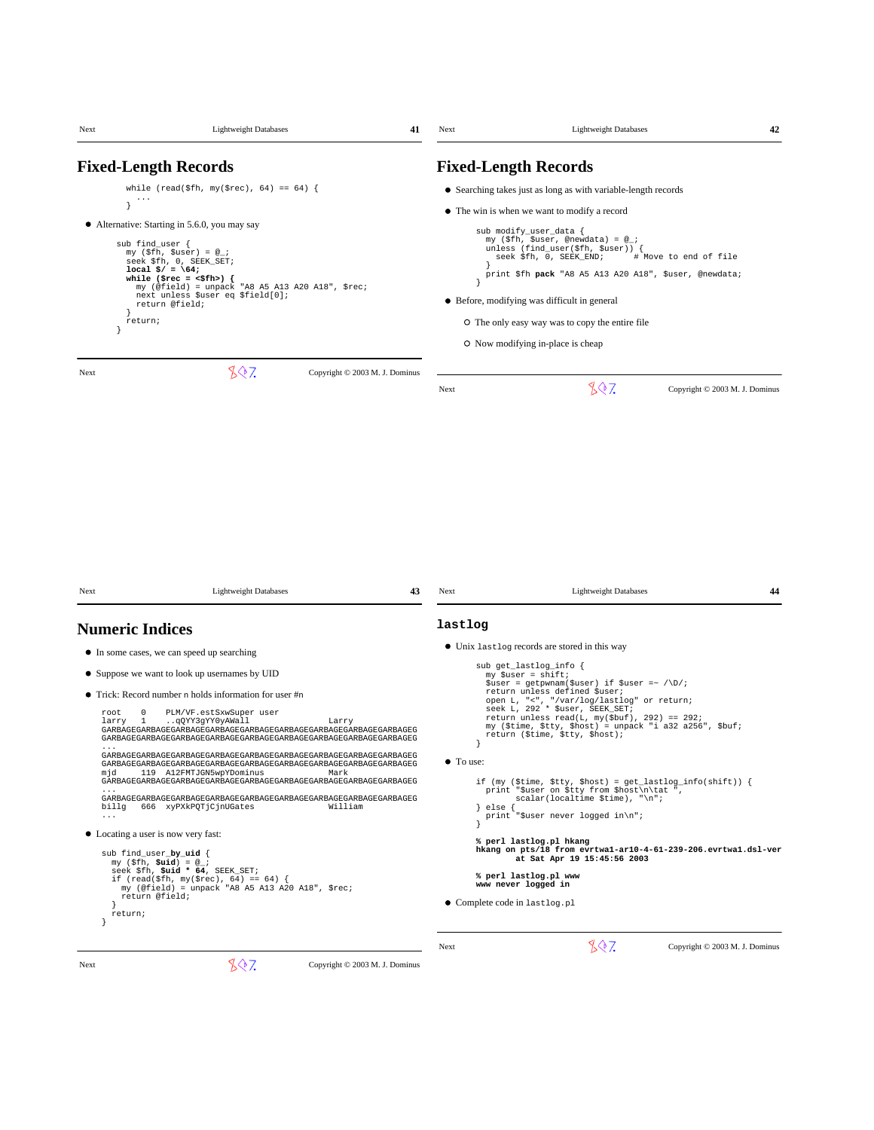| Next                                                                                                                                          | <b>Lightweight Databases</b>                                                                                                                                                                                                                                                                                                                                                                                                                           | 41                                                                                                                                                                                                                                                                                                                                                                                                                                                                         | Next                                     | <b>Lightweight Databases</b>                                                                                                                                                                                                                                                                                                                                                                                                                                                                                                                                                                                                                                                                                                                                                                                                     | 42                                                      |
|-----------------------------------------------------------------------------------------------------------------------------------------------|--------------------------------------------------------------------------------------------------------------------------------------------------------------------------------------------------------------------------------------------------------------------------------------------------------------------------------------------------------------------------------------------------------------------------------------------------------|----------------------------------------------------------------------------------------------------------------------------------------------------------------------------------------------------------------------------------------------------------------------------------------------------------------------------------------------------------------------------------------------------------------------------------------------------------------------------|------------------------------------------|----------------------------------------------------------------------------------------------------------------------------------------------------------------------------------------------------------------------------------------------------------------------------------------------------------------------------------------------------------------------------------------------------------------------------------------------------------------------------------------------------------------------------------------------------------------------------------------------------------------------------------------------------------------------------------------------------------------------------------------------------------------------------------------------------------------------------------|---------------------------------------------------------|
|                                                                                                                                               | <b>Fixed-Length Records</b>                                                                                                                                                                                                                                                                                                                                                                                                                            |                                                                                                                                                                                                                                                                                                                                                                                                                                                                            |                                          | <b>Fixed-Length Records</b>                                                                                                                                                                                                                                                                                                                                                                                                                                                                                                                                                                                                                                                                                                                                                                                                      |                                                         |
| ₹<br>sub find_user {<br>return;<br>Next                                                                                                       | while (read(\$fh, my(\$rec), 64) == 64) {<br>• Alternative: Starting in 5.6.0, you may say<br>my $(\$fh, $user) = @_{i}$<br>seek \$fh, 0, SEEK_SET;<br>local $\frac{2}{7}$ = \64;<br>while (\$rec = $\langle$ \$fh>) {<br>my (@field) = unpack "A8 A5 A13 A20 A18", \$rec;<br>next unless \$user eq \$field[0];<br>return @field;<br>807                                                                                                               | Copyright © 2003 M. J. Dominus                                                                                                                                                                                                                                                                                                                                                                                                                                             | Next                                     | • Searching takes just as long as with variable-length records<br>• The win is when we want to modify a record<br>sub modify_user_data {<br>my (\$fh, \$user, @newdata) = @_;<br>unless (find_user(\$fh, \$user)) {<br>seek \$fh, 0, SEEK_END;<br>print \$fh pack "A8 A5 A13 A20 A18", \$user, @newdata;<br>• Before, modifying was difficult in general<br>O The only easy way was to copy the entire file<br>O Now modifying in-place is cheap<br>807                                                                                                                                                                                                                                                                                                                                                                          | # Move to end of file<br>Copyright © 2003 M. J. Dominus |
| Next                                                                                                                                          | <b>Lightweight Databases</b>                                                                                                                                                                                                                                                                                                                                                                                                                           | 43                                                                                                                                                                                                                                                                                                                                                                                                                                                                         | Next                                     | <b>Lightweight Databases</b>                                                                                                                                                                                                                                                                                                                                                                                                                                                                                                                                                                                                                                                                                                                                                                                                     | 44                                                      |
| <b>Numeric Indices</b>                                                                                                                        |                                                                                                                                                                                                                                                                                                                                                                                                                                                        |                                                                                                                                                                                                                                                                                                                                                                                                                                                                            | lastlog                                  |                                                                                                                                                                                                                                                                                                                                                                                                                                                                                                                                                                                                                                                                                                                                                                                                                                  |                                                         |
| $\Omega$<br>root<br>$\mathbf{1}$<br>larry<br>.<br>mjd<br>billg<br>$\ldots$ .<br>• Locating a user is now very fast:<br>sub find_user_by_uid { | • In some cases, we can speed up searching<br>• Suppose we want to look up usernames by UID<br>$\bullet$ Trick: Record number n holds information for user $\#n$<br>PLM/VF.estSxwSuper user<br>qQYY3gYY0yAWall<br>119 A12FMTJGN5wpYDominus<br>666 xyPXkPQTjCjnUGates<br>my $(\$fh, \$uid) = @_{i}$<br>seek \$fh, \$uid * 64, SEEK_SET;<br>if (read(\$fh, my(\$rec), 64) == 64) {<br>my (@field) = unpack "A8 A5 A13 A20 A18", \$rec;<br>return @field; | Larry<br>${\tt GARBAGESARBAGESARBAGESARBAGESRBAGESARBAGESRBAGESARBAGESRBAGESRBAGESRBAGESRBAGESRBB5$<br>GARBAGEGARBAGEGARBAGEGARBAGEGARBAGEGARBAGEGARBAGEGARBAGEGARBAGEG<br>GARBAGEGARBAGEGARBAGEGARBAGEGARBAGEGARBAGEGARBAGEGARBAGEGARBAGEG<br>GARBAGEGARBAGEGARBAGEGARBAGEGARBAGEGARBAGEGARBAGEGARBAGEGARBAGEG<br>Mark<br>GARBAGEGARBAGEGARBAGEGARBAGEGARBAGEGARBAGEGARBAGEGARBAGEGARBAGEG<br>GARBAGEGARBAGEGARBAGEGARBAGEGARBAGEGARBAGEGARBAGEGARBAGEGARBAGEG<br>William | ł<br>$\bullet$ To use:<br>$\}$ else $\{$ | • Unix last log records are stored in this way<br>sub get_lastlog_info {<br>my \$user = shift;<br>$$user = getp$ wnam( $$user) if $user = \sqrt{D}/i$<br>return unless defined \$user;<br>open L, "<", "/var/log/lastlog" or return;<br>seek L, 292 * \$user, SEEK_SET;<br>return unless read(L, my(\$buf), 292) == 292;<br>my (\$time, \$tty, \$host) = unpack "i a32 a256", \$buf;<br>return (\$time, \$tty, \$host);<br>if (my (\$time, \$tty, \$host) = $get\_lastlog_info(shift)$ ) {<br>print "\$user on \$tty from \$host\n\tat ",<br>$scalar(localtime $time), "\\n";$<br>print "\$user never logged in\n";<br>% perl lastlog.pl hkang<br>hkang on pts/18 from evrtwal-ar10-4-61-239-206.evrtwal.dsl-ver<br>at Sat Apr 19 15:45:56 2003<br>% perl lastlog.pl www<br>www never logged in<br>• Complete code in lastlog.pl |                                                         |
| return;<br>}                                                                                                                                  |                                                                                                                                                                                                                                                                                                                                                                                                                                                        |                                                                                                                                                                                                                                                                                                                                                                                                                                                                            | Next                                     | 807                                                                                                                                                                                                                                                                                                                                                                                                                                                                                                                                                                                                                                                                                                                                                                                                                              | Copyright © 2003 M. J. Dominus                          |
| Next                                                                                                                                          | 807                                                                                                                                                                                                                                                                                                                                                                                                                                                    | Copyright © 2003 M. J. Dominus                                                                                                                                                                                                                                                                                                                                                                                                                                             |                                          |                                                                                                                                                                                                                                                                                                                                                                                                                                                                                                                                                                                                                                                                                                                                                                                                                                  |                                                         |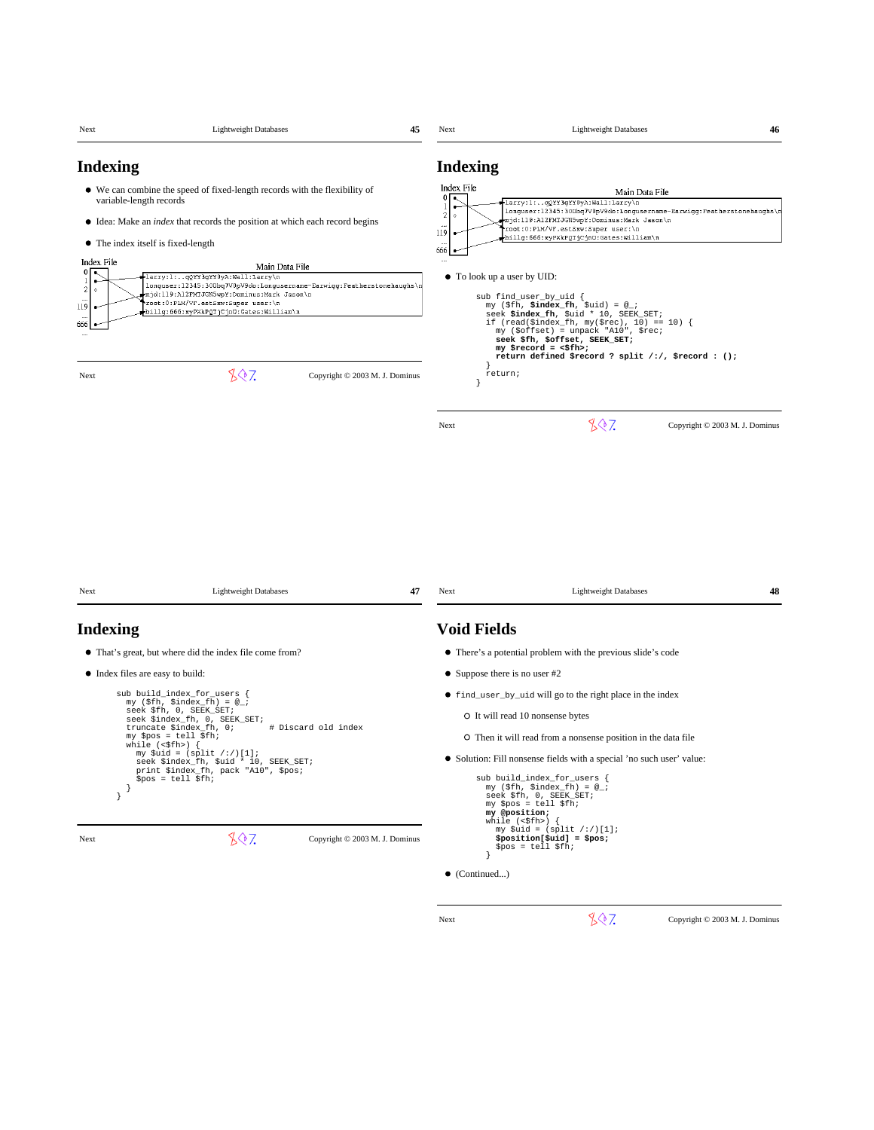| Next                                                                                                                                                     | <b>Lightweight Databases</b>                                                                                                                                                                                                                                                                                                                                                                                         |                                                  | 45 | Next                                                                                      | <b>Lightweight Databases</b>                                                                                                                                                                                                                                                                                                                                                                                                                                                                                                                                                                                                          |                                | 46 |
|----------------------------------------------------------------------------------------------------------------------------------------------------------|----------------------------------------------------------------------------------------------------------------------------------------------------------------------------------------------------------------------------------------------------------------------------------------------------------------------------------------------------------------------------------------------------------------------|--------------------------------------------------|----|-------------------------------------------------------------------------------------------|---------------------------------------------------------------------------------------------------------------------------------------------------------------------------------------------------------------------------------------------------------------------------------------------------------------------------------------------------------------------------------------------------------------------------------------------------------------------------------------------------------------------------------------------------------------------------------------------------------------------------------------|--------------------------------|----|
| <b>Indexing</b><br>variable-length records<br>• The index itself is fixed-length<br>Index File<br>0 <sub>0</sub><br>$\overline{c}$<br>119<br>666<br>Next | • We can combine the speed of fixed-length records with the flexibility of<br>• Idea: Make an <i>index</i> that records the position at which each record begins<br>-larry:1:qQYY3gYY0yA:Wall:Larry\n<br>longuser:12345:300bq7V0pV9do:Longusername-Earwigg:Featherstonehaughs\<br>mjd:119:A12FMTJGN5wpY:Dominus:Mark Jason\n<br>root:0:PLM/VF.estSxw:Super user:\n<br>billg:666:xyPXkPQTjCjnO:Gates:William\n<br>807 | Main Data File<br>Copyright © 2003 M. J. Dominus |    | <b>Indexing</b><br>Index File<br>-1<br>$\sqrt{2}$<br>$\Diamond$<br>119<br>666<br><br>Next | Main Data File<br>-larry:1:qQYY3gYY0yA:Wall:Larry\n<br>longuser:12345:300bq7V0pV9do:Longusername-Earwigg:Featherstonehaughs\n<br>mjd:119:A12FMTJGN5wpY:Dominus:Mark Jason\n<br>root:0:PLM/VF.estSxw:Super user:\n<br>billg:666:xyPXkPQTjCjnU:Gates:William\n<br>• To look up a user by UID:<br>sub find_user_by_uid {<br>my (\$fh, \$index_fh, \$uid) = $@$ ;<br>seek \$index_fh, \$uid * 10, SEEK_SET;<br>if (read(\$index_fh, my(\$rec), 10) == 10) {<br>my (\$offset) = unpack "A10", \$rec;<br>seek \$fh, \$offset, SEEK_SET;<br>$my$ \$record = <\$fh>;<br>return defined \$record ? split /:/, \$record : ();<br>return;<br>807 | Copyright © 2003 M. J. Dominus |    |
| Next<br><b>Indexing</b>                                                                                                                                  | <b>Lightweight Databases</b><br>• That's great, but where did the index file come from?                                                                                                                                                                                                                                                                                                                              |                                                  | 47 | Next<br><b>Void Fields</b>                                                                | <b>Lightweight Databases</b><br>• There's a potential problem with the previous slide's code                                                                                                                                                                                                                                                                                                                                                                                                                                                                                                                                          |                                | 48 |
| • Index files are easy to build:<br>}<br>}<br>Next                                                                                                       | sub build_index_for_users {<br>my (\$fh, \$index_fh) = $@$ ;<br>seek \$fh, 0, SEEK_SET;<br>seek \$index fh, 0, SEEK SET;<br>truncate \$index_fh, 0;<br>$my$ \$pos = tell \$fh;<br>while (<\$fh>)<br>my $$uid = (split / : /)[1];$<br>seek \$index_fh, \$uid * 10, SEEK_SET;<br>print \$index_fh, pack "A10", \$pos;<br>$$pos = tell $fh;$<br>807                                                                     | # Discard old index                              |    |                                                                                           | • Suppose there is no user $#2$<br>• find_user_by_uid will go to the right place in the index<br>O It will read 10 nonsense bytes<br>O Then it will read from a nonsense position in the data file<br>• Solution: Fill nonsense fields with a special 'no such user' value:<br>sub build_index_for_users {<br>my (\$fh, \$index_fh) = $@$<br>seek \$fh, 0, SEEK_SET;<br>my \$pos = tell \$fh;<br>my @position;<br>while $(\leq$ \$fh>)<br>my $$uid = (split / : /)[1];$                                                                                                                                                               |                                |    |
|                                                                                                                                                          |                                                                                                                                                                                                                                                                                                                                                                                                                      | Copyright © 2003 M. J. Dominus                   |    |                                                                                           | $$position[Suid] = $pos;$                                                                                                                                                                                                                                                                                                                                                                                                                                                                                                                                                                                                             |                                |    |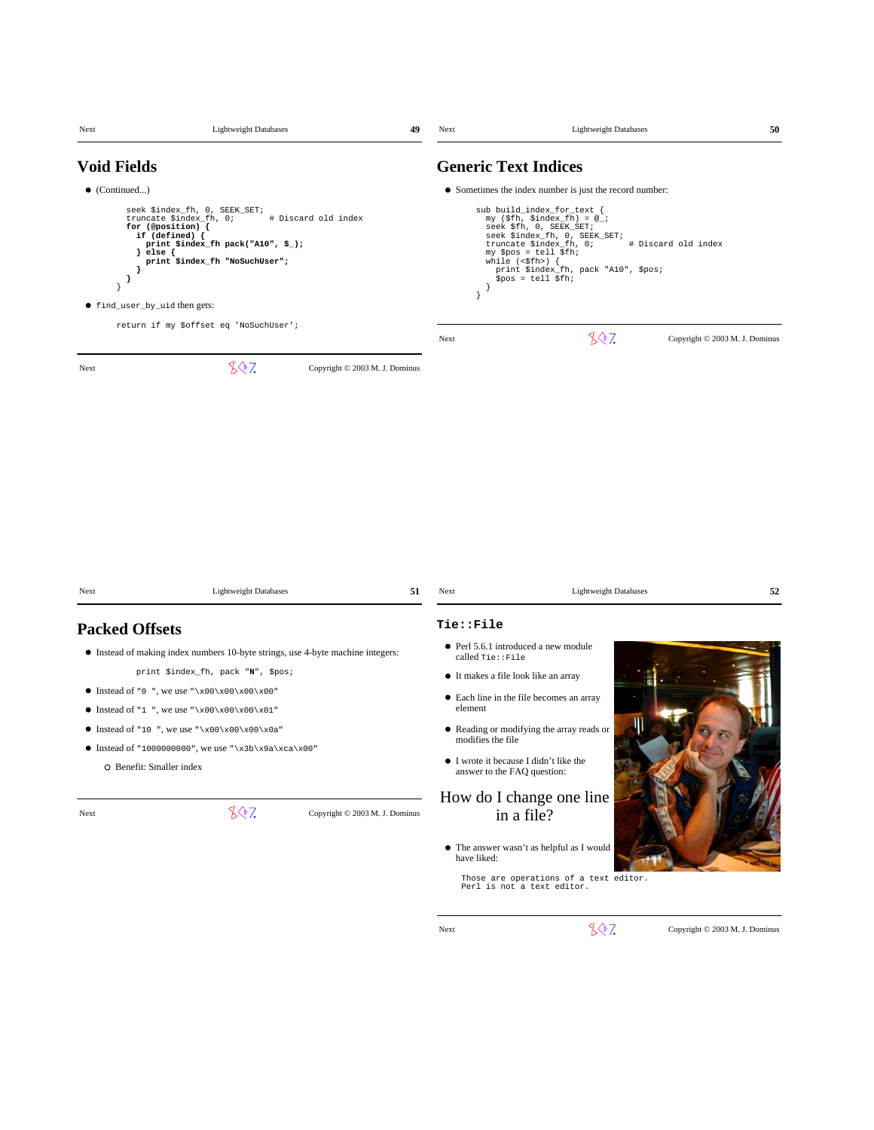| Next                                   | <b>Lightweight Databases</b>                                                                                                                                                                                                                                                                                                                           | 49                             | Next                                                          | <b>Lightweight Databases</b>                                                                                                                                                                                                                                                                                                                                      | 50                             |
|----------------------------------------|--------------------------------------------------------------------------------------------------------------------------------------------------------------------------------------------------------------------------------------------------------------------------------------------------------------------------------------------------------|--------------------------------|---------------------------------------------------------------|-------------------------------------------------------------------------------------------------------------------------------------------------------------------------------------------------------------------------------------------------------------------------------------------------------------------------------------------------------------------|--------------------------------|
| <b>Void Fields</b>                     |                                                                                                                                                                                                                                                                                                                                                        |                                |                                                               | <b>Generic Text Indices</b>                                                                                                                                                                                                                                                                                                                                       |                                |
| $\bullet$ (Continued)<br>}<br>$\big\}$ | seek \$index_fh, 0, SEEK_SET;<br>truncate \$index_fh, 0;<br>for (@position) {<br>if $(defined)$ {<br>print \$index_fh pack("A10", $\frac{1}{2}$ );<br>else {<br>J.<br>print \$index_fh "NoSuchUser";<br>● find_user_by_uid then gets:                                                                                                                  | # Discard old index            | $\mathcal{E}$                                                 | • Sometimes the index number is just the record number:<br>sub build_index_for_text {<br>my $(\$fh, \$index_fn) = @_{i}$<br>seek \$fh, 0, SEEK_SET;<br>seek \$index_fh, 0, SEEK_SET;<br># Discard old index<br>truncate \$index_fh, 0;<br>my \$pos = tell \$fh;<br>while $(\langle \$fh \rangle)$ {<br>print \$index_fh, pack "A10", \$pos;<br>$$pos = tell $fh;$ |                                |
|                                        | return if my \$offset eq 'NoSuchUser';                                                                                                                                                                                                                                                                                                                 |                                | Next                                                          | 807                                                                                                                                                                                                                                                                                                                                                               | Copyright © 2003 M. J. Dominus |
|                                        |                                                                                                                                                                                                                                                                                                                                                        |                                |                                                               |                                                                                                                                                                                                                                                                                                                                                                   |                                |
| Next                                   | <b>Lightweight Databases</b>                                                                                                                                                                                                                                                                                                                           | 51                             | Next                                                          | <b>Lightweight Databases</b>                                                                                                                                                                                                                                                                                                                                      | 52                             |
| <b>Packed Offsets</b>                  | • Instead of making index numbers 10-byte strings, use 4-byte machine integers:<br>print \$index_fh, pack "N", \$pos;<br>• Instead of "0", we use " $x00\ x00\ x00$ "<br>• Instead of "1", we use " $x00\ x00\ x01$ "<br>• Instead of "10", we use " $x00\ x00\ x00$<br>Instead of "1000000000", we use "\x3b\x9a\xca\x00"<br>O Benefit: Smaller index |                                | Tie::File<br>called Tie::File<br>element<br>modifies the file | • Perl 5.6.1 introduced a new module<br>• It makes a file look like an array<br>• Each line in the file becomes an array<br>• Reading or modifying the array reads or<br>• I wrote it because I didn't like the<br>answer to the FAQ question:                                                                                                                    |                                |
| Next                                   | 807                                                                                                                                                                                                                                                                                                                                                    | Copyright © 2003 M. J. Dominus | have liked:                                                   | How do I change one line<br>in a file?<br>$\bullet~$ The answer wasn't as helpful as I would<br>Those are operations of a text editor.<br>Perl is not a text editor.                                                                                                                                                                                              |                                |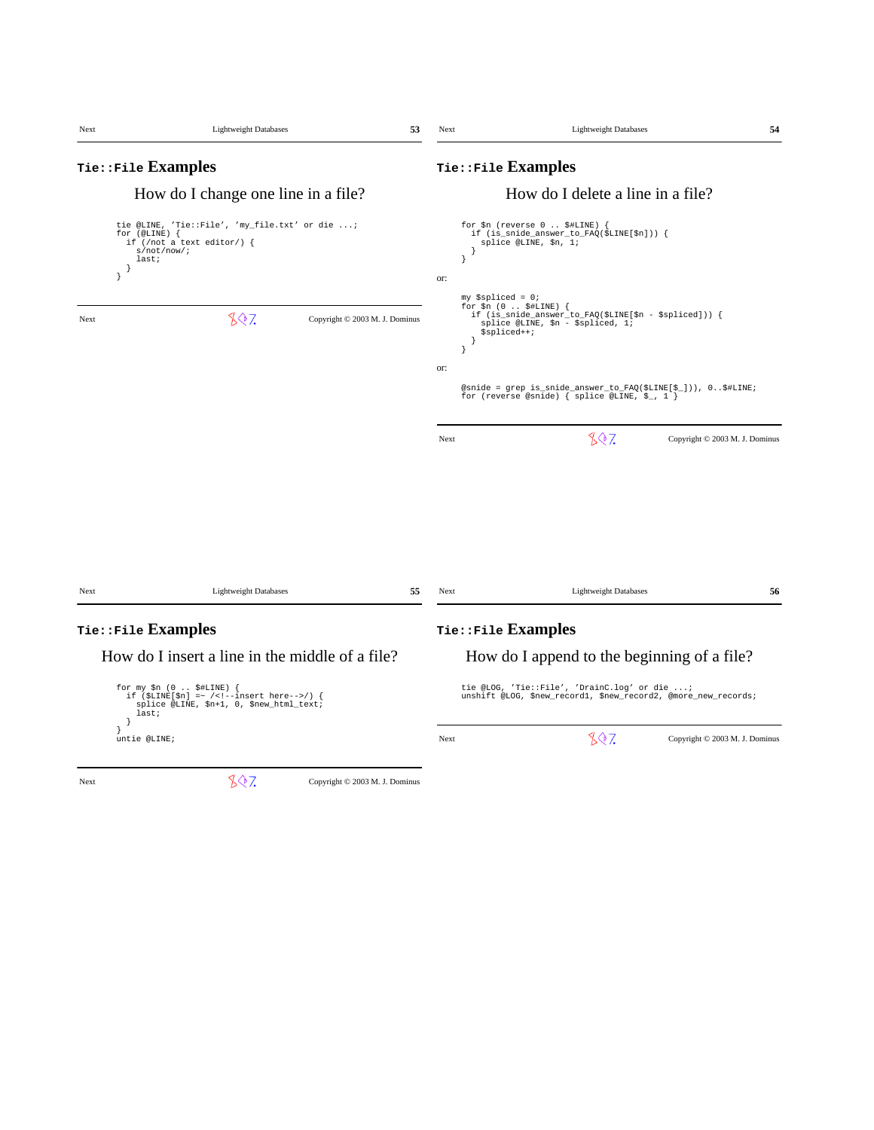| Next | <b>Lightweight Databases</b>                                                                                                                   | 53  | Next | <b>Lightweight Databases</b>                                                                                                                                                 | 54 |
|------|------------------------------------------------------------------------------------------------------------------------------------------------|-----|------|------------------------------------------------------------------------------------------------------------------------------------------------------------------------------|----|
|      | Tie::File Examples                                                                                                                             |     |      | Tie::File Examples                                                                                                                                                           |    |
|      | How do I change one line in a file?                                                                                                            |     |      | How do I delete a line in a file?                                                                                                                                            |    |
|      | tie @LINE, 'Tie::File', 'my_file.txt' or die ;<br>for $(@LINE)$ {<br>if (/not a text editor/) {<br>s/not/now/i<br>last:<br>-1<br>$\mathcal{E}$ | or: | }    | for $\sin$ (reverse 0 $\frac{1}{2}$ HLINE) {<br>if (is_snide_answer_to_FAQ(\$LINE[\$n])) {<br>splice @LINE, \$n, 1;<br>$my$ \$spliced = 0;<br>for $\sin(0 \ldots \sin(k))$ { |    |
| Next | 807<br>Copyright © 2003 M. J. Dominus                                                                                                          |     |      | if (is_snide_answer_to_FAQ(\$LINE[\$n - \$spliced])) {<br>splice @LINE, \$n - \$spliced, 1;<br>\$spliced++;                                                                  |    |
|      |                                                                                                                                                | or: |      |                                                                                                                                                                              |    |
|      |                                                                                                                                                |     |      | @snide = grep is_snide_answer_to_FAQ(\$LINE[\$_])), 0\$#LINE;<br>for (reverse @snide) { splice @LINE, $\S_$ , 1 }                                                            |    |
|      |                                                                                                                                                |     | Next | 807<br>Copyright © 2003 M. J. Dominus                                                                                                                                        |    |
|      |                                                                                                                                                |     |      |                                                                                                                                                                              |    |
| Next | <b>Lightweight Databases</b>                                                                                                                   | 55  | Next | <b>Lightweight Databases</b>                                                                                                                                                 | 56 |
|      | Tie::File Examples                                                                                                                             |     |      | Tie::File Examples                                                                                                                                                           |    |
|      | How do I insert a line in the middle of a file?                                                                                                |     |      | How do I append to the beginning of a file?                                                                                                                                  |    |
|      | for my $$n$ (0 $$HLINE$ ) {<br>if $(SLINE[Sn] = ~ / < ! - insert here -> / )$ {<br>splice @LINE, \$n+1, 0, \$new_html_text;<br>last;           |     |      | tie @LOG, 'Tie::File', 'DrainC.log' or die ;<br>unshift @LOG, \$new_record1, \$new_record2, @more_new_records;                                                               |    |
|      | ł.<br>1<br>untie @LINE;                                                                                                                        |     | Next | 807<br>Copyright © 2003 M. J. Dominus                                                                                                                                        |    |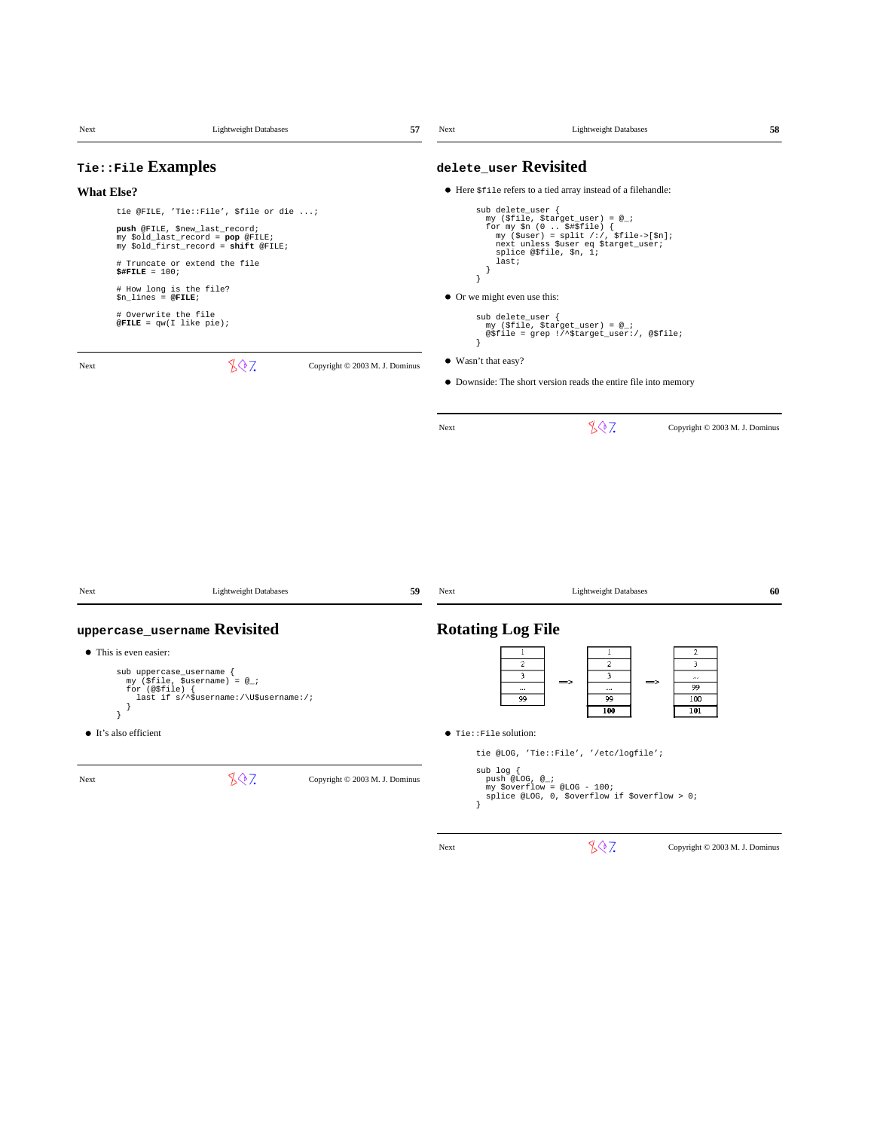| Next | <b>Lightweight Databases</b>                                                                                                                                                                                                                                                                                                                   | 57                             | Next                                                   | <b>Lightweight Databases</b>                                                                                                                                                                                                                                                                                         | 58                                                           |
|------|------------------------------------------------------------------------------------------------------------------------------------------------------------------------------------------------------------------------------------------------------------------------------------------------------------------------------------------------|--------------------------------|--------------------------------------------------------|----------------------------------------------------------------------------------------------------------------------------------------------------------------------------------------------------------------------------------------------------------------------------------------------------------------------|--------------------------------------------------------------|
|      | Tie::File Examples                                                                                                                                                                                                                                                                                                                             |                                |                                                        | delete_user Revisited                                                                                                                                                                                                                                                                                                |                                                              |
|      | <b>What Else?</b>                                                                                                                                                                                                                                                                                                                              |                                |                                                        | • Here $$file$ refers to a tied array instead of a filehandle:                                                                                                                                                                                                                                                       |                                                              |
|      | tie @FILE, 'Tie::File', \$file or die ;<br>push @FILE, \$new_last_record;<br>my \$old_last_record = pop @FILE;<br>my \$old_first_record = shift @FILE;<br># Truncate or extend the file<br>$$$ #FILE = 100;<br># How long is the file?<br>$$n_1$ ines = @FILE;<br># Overwrite the file<br>$\texttt{QFILE} = \texttt{qw}(\texttt{I like pie});$ |                                | - 1<br>$\big\}$<br>• Or we might even use this:<br>- 1 | sub delete_user {<br>my (\$file, \$target_user) = @_;<br>for my $$n$ (0 $$#$file$ ) {<br>my (\$user) = split /:/, \$file->[\$n];<br>next unless \$user eq \$target_user;<br>splice @\$file, \$n, 1;<br>last;<br>sub delete_user {<br>my (\$file, \$target_user) = @_;<br>@\$file = grep !/^\$target_user:/, @\$file; |                                                              |
| Next | 807                                                                                                                                                                                                                                                                                                                                            | Copyright © 2003 M. J. Dominus | • Wasn't that easy?                                    | • Downside: The short version reads the entire file into memory                                                                                                                                                                                                                                                      |                                                              |
|      |                                                                                                                                                                                                                                                                                                                                                |                                | Next                                                   | 807                                                                                                                                                                                                                                                                                                                  | Copyright © 2003 M. J. Dominus                               |
| Next | <b>Lightweight Databases</b>                                                                                                                                                                                                                                                                                                                   | 59                             | Next                                                   | <b>Lightweight Databases</b>                                                                                                                                                                                                                                                                                         | 60                                                           |
|      | uppercase_username Revisited                                                                                                                                                                                                                                                                                                                   |                                | <b>Rotating Log File</b>                               |                                                                                                                                                                                                                                                                                                                      |                                                              |
| Next | • This is even easier:<br>sub uppercase_username {<br>$my$ (\$file, \$username) = $@_{i}$ ;<br>for $(@$file)$ {<br>last if s/^\$username:/\U\$username:/;<br>$\mathcal{E}$<br>• It's also efficient<br>807                                                                                                                                     | Copyright © 2003 M. J. Dominus | • Tie::File solution:<br>sub log {                     | 1<br>$\mathbf{1}$<br>$\overline{c}$<br>$\overline{c}$<br>$\overline{\mathbf{3}}$<br>$\overline{\mathbf{3}}$<br><br><br>99<br>99<br>100<br>tie @LOG, 'Tie::File', '/etc/logfile';<br>push @LOG, $@\_i$                                                                                                                | 2<br>$\overline{\mathbf{3}}$<br>$\ldots$<br>99<br>100<br>101 |
|      |                                                                                                                                                                                                                                                                                                                                                |                                | $\big\}$                                               | my \$overflow = @LOG - 100;<br>splice @LOG, 0, \$overflow if \$overflow > 0;                                                                                                                                                                                                                                         |                                                              |
|      |                                                                                                                                                                                                                                                                                                                                                |                                | Next                                                   | 807                                                                                                                                                                                                                                                                                                                  | Copyright © 2003 M. J. Dominus                               |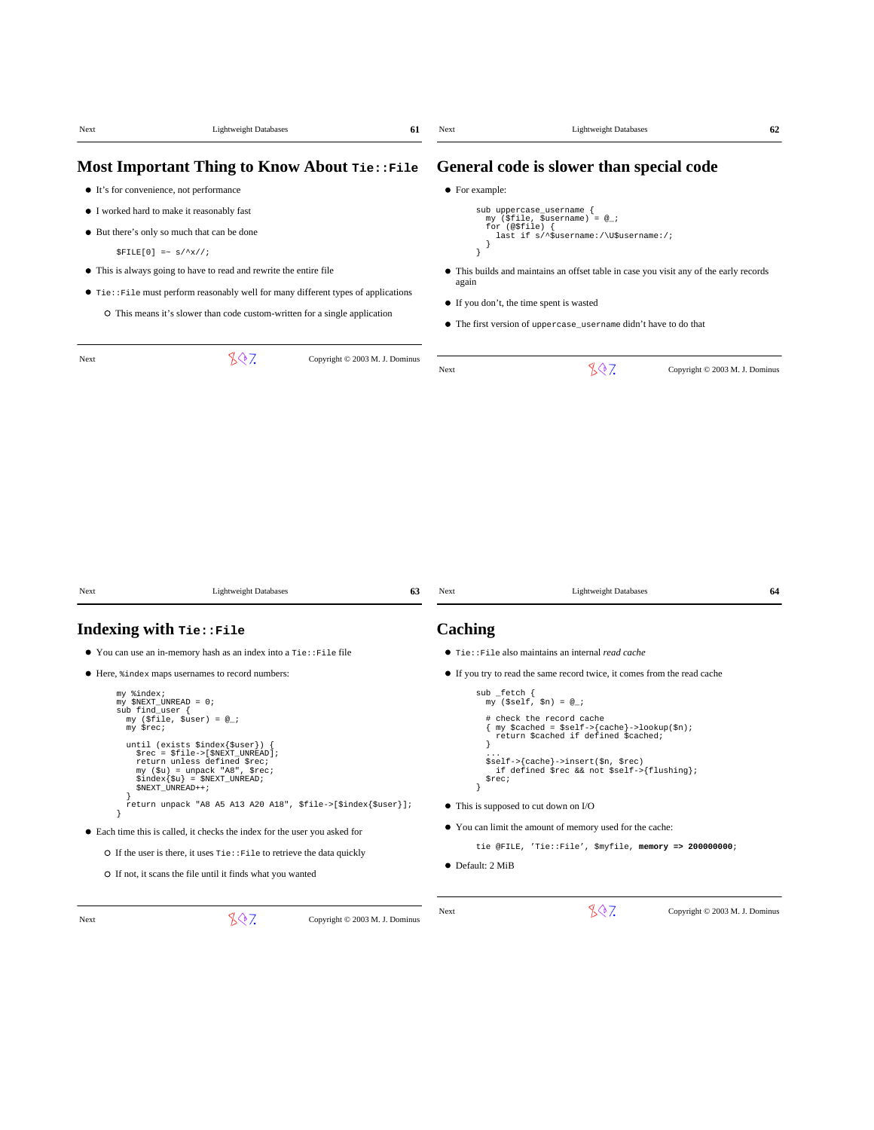| Next                                            | <b>Lightweight Databases</b>                                                                                                                                                                                                                                                                                                                                                                                                                                                                                                                                                                                                            | 61                                           | Next                                                                    | <b>Lightweight Databases</b>                                                                                                                                                                                                                                                                                                                                                                                                                                                     | 62                             |
|-------------------------------------------------|-----------------------------------------------------------------------------------------------------------------------------------------------------------------------------------------------------------------------------------------------------------------------------------------------------------------------------------------------------------------------------------------------------------------------------------------------------------------------------------------------------------------------------------------------------------------------------------------------------------------------------------------|----------------------------------------------|-------------------------------------------------------------------------|----------------------------------------------------------------------------------------------------------------------------------------------------------------------------------------------------------------------------------------------------------------------------------------------------------------------------------------------------------------------------------------------------------------------------------------------------------------------------------|--------------------------------|
|                                                 |                                                                                                                                                                                                                                                                                                                                                                                                                                                                                                                                                                                                                                         | Most Important Thing to Know About Tie::File |                                                                         | General code is slower than special code                                                                                                                                                                                                                                                                                                                                                                                                                                         |                                |
|                                                 | • It's for convenience, not performance                                                                                                                                                                                                                                                                                                                                                                                                                                                                                                                                                                                                 |                                              | • For example:                                                          |                                                                                                                                                                                                                                                                                                                                                                                                                                                                                  |                                |
|                                                 | • I worked hard to make it reasonably fast                                                                                                                                                                                                                                                                                                                                                                                                                                                                                                                                                                                              |                                              |                                                                         | sub uppercase_username {<br>my (\$file, \$username) = $@$ ;                                                                                                                                                                                                                                                                                                                                                                                                                      |                                |
|                                                 | • But there's only so much that can be done                                                                                                                                                                                                                                                                                                                                                                                                                                                                                                                                                                                             |                                              |                                                                         | for $(\circ$ \$file) {<br>last if s/^\$username:/\U\$username:/;                                                                                                                                                                                                                                                                                                                                                                                                                 |                                |
|                                                 | $$FILE[0]$ =~ $s/\uparrow x//$ ;                                                                                                                                                                                                                                                                                                                                                                                                                                                                                                                                                                                                        |                                              | }                                                                       |                                                                                                                                                                                                                                                                                                                                                                                                                                                                                  |                                |
|                                                 | • This is always going to have to read and rewrite the entire file                                                                                                                                                                                                                                                                                                                                                                                                                                                                                                                                                                      |                                              |                                                                         | • This builds and maintains an offset table in case you visit any of the early records                                                                                                                                                                                                                                                                                                                                                                                           |                                |
|                                                 | $\bullet$ Tie: : File must perform reasonably well for many different types of applications                                                                                                                                                                                                                                                                                                                                                                                                                                                                                                                                             |                                              | again                                                                   |                                                                                                                                                                                                                                                                                                                                                                                                                                                                                  |                                |
|                                                 | O This means it's slower than code custom-written for a single application                                                                                                                                                                                                                                                                                                                                                                                                                                                                                                                                                              |                                              |                                                                         | • If you don't, the time spent is wasted<br>• The first version of uppercase_username didn't have to do that                                                                                                                                                                                                                                                                                                                                                                     |                                |
| Next                                            | 807                                                                                                                                                                                                                                                                                                                                                                                                                                                                                                                                                                                                                                     | Copyright © 2003 M. J. Dominus               |                                                                         |                                                                                                                                                                                                                                                                                                                                                                                                                                                                                  |                                |
|                                                 |                                                                                                                                                                                                                                                                                                                                                                                                                                                                                                                                                                                                                                         |                                              | Next                                                                    | 807                                                                                                                                                                                                                                                                                                                                                                                                                                                                              | Copyright © 2003 M. J. Dominus |
|                                                 |                                                                                                                                                                                                                                                                                                                                                                                                                                                                                                                                                                                                                                         |                                              |                                                                         |                                                                                                                                                                                                                                                                                                                                                                                                                                                                                  |                                |
|                                                 | <b>Lightweight Databases</b>                                                                                                                                                                                                                                                                                                                                                                                                                                                                                                                                                                                                            | 63                                           | Next                                                                    | <b>Lightweight Databases</b>                                                                                                                                                                                                                                                                                                                                                                                                                                                     | 64                             |
|                                                 | Indexing with Tie::File                                                                                                                                                                                                                                                                                                                                                                                                                                                                                                                                                                                                                 |                                              | Caching                                                                 |                                                                                                                                                                                                                                                                                                                                                                                                                                                                                  |                                |
| Next                                            | • You can use an in-memory hash as an index into a Tie: : File file                                                                                                                                                                                                                                                                                                                                                                                                                                                                                                                                                                     |                                              |                                                                         | • Tie:: File also maintains an internal read cache                                                                                                                                                                                                                                                                                                                                                                                                                               |                                |
| my %index;<br>sub find user {<br>my \$rec;<br>} | • Here, $\frac{1}{2}$ index maps usernames to record numbers:<br>my \$NEXT_UNREAD = 0;<br>my (\$file, \$user) = $@_{i}$ ;<br>until (exists \$index{\$user}) {<br>\$rec = \$file->[\$NEXT_UNREAD]<br>return unless defined \$rec;<br>$my$ (\$u) = unpack "A8", \$rec;<br>$$index{\$u\} = $NEXT_UNREAD$<br>\$NEXT_UNREAD++;<br>return unpack "A8 A5 A13 A20 A18", \$file->[\$index{\$user}];<br>• Each time this is called, it checks the index for the user you asked for<br>$\circ$ If the user is there, it uses $\text{rie} : \text{File}$ to retrieve the data quickly<br>O If not, it scans the file until it finds what you wanted |                                              | sub _fetch {<br><sup>1</sup><br>\$rec;<br>1<br>$\bullet$ Default: 2 MiB | • If you try to read the same record twice, it comes from the read cache<br>my (\$self, \$n) = $@_{i}$ ;<br># check the record cache<br>my \$cached = \$self->{cache}->lookup(\$n);<br>return \$cached if defined \$cached;<br>\$self->{cache}->insert(\$n, \$rec)<br>if defined \$rec && not \$self->{flushing};<br>• This is supposed to cut down on I/O<br>• You can limit the amount of memory used for the cache:<br>tie @FILE, 'Tie::File', \$myfile, memory => 200000000; |                                |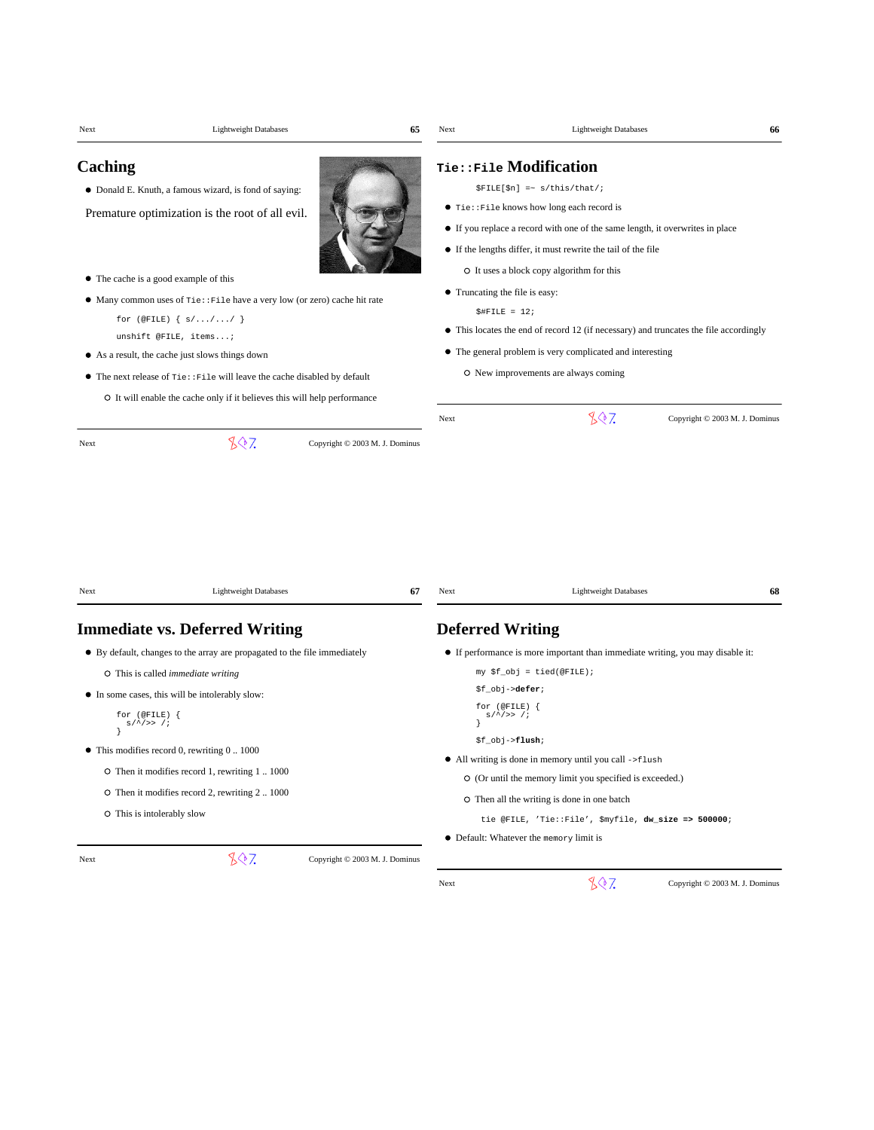| Next                                  | <b>Lightweight Databases</b>                                                                                                                                                                                                                                                                                                                                                                                                                              | 65                             | Next                                              | <b>Lightweight Databases</b>                                                                                                                                                                                                                                                                                                                                                                                                                                                                         | 66                             |
|---------------------------------------|-----------------------------------------------------------------------------------------------------------------------------------------------------------------------------------------------------------------------------------------------------------------------------------------------------------------------------------------------------------------------------------------------------------------------------------------------------------|--------------------------------|---------------------------------------------------|------------------------------------------------------------------------------------------------------------------------------------------------------------------------------------------------------------------------------------------------------------------------------------------------------------------------------------------------------------------------------------------------------------------------------------------------------------------------------------------------------|--------------------------------|
| Caching                               | • Donald E. Knuth, a famous wizard, is fond of saying:<br>Premature optimization is the root of all evil.<br>• The cache is a good example of this<br>• Many common uses of $\text{rie} : \text{File}$ have a very low (or zero) cache hit rate<br>for $(\text{QFILE}) \{ s/ \dots / \dots / \}$<br>unshift @FILE, items;<br>• As a result, the cache just slows things down<br>• The next release of Tie:: File will leave the cache disabled by default |                                | • Truncating the file is easy:<br>$$$ #FILE = 12; | Tie::File Modification<br>$$FILE[$n]$ =~ $s/this/that/$i$<br>• Tie:: File knows how long each record is<br>• If you replace a record with one of the same length, it overwrites in place<br>• If the lengths differ, it must rewrite the tail of the file<br>O It uses a block copy algorithm for this<br>• This locates the end of record 12 (if necessary) and truncates the file accordingly<br>• The general problem is very complicated and interesting<br>O New improvements are always coming |                                |
|                                       | O It will enable the cache only if it believes this will help performance<br>807                                                                                                                                                                                                                                                                                                                                                                          |                                | Next                                              | 807                                                                                                                                                                                                                                                                                                                                                                                                                                                                                                  | Copyright © 2003 M. J. Dominus |
| Next                                  | <b>Lightweight Databases</b>                                                                                                                                                                                                                                                                                                                                                                                                                              | 67                             | Next                                              | <b>Lightweight Databases</b>                                                                                                                                                                                                                                                                                                                                                                                                                                                                         | 68                             |
|                                       | <b>Immediate vs. Deferred Writing</b>                                                                                                                                                                                                                                                                                                                                                                                                                     |                                | <b>Deferred Writing</b>                           |                                                                                                                                                                                                                                                                                                                                                                                                                                                                                                      |                                |
| for $($ @FILE $)$ {<br>$s/\sim/>>$ /; | • By default, changes to the array are propagated to the file immediately<br>O This is called <i>immediate writing</i><br>• In some cases, this will be intolerably slow:<br>$\bullet$ This modifies record 0, rewriting 0 1000<br>O Then it modifies record 1, rewriting 1  1000<br>O Then it modifies record 2, rewriting 2 1000<br>O This is intolerably slow                                                                                          |                                | for $($ @FILE $)$ {<br>$s/^2 >> 1$                | • If performance is more important than immediate writing, you may disable it:<br>my \$f_obj = tied(@FILE);<br>\$f_obj-> <b>defer</b> ;<br>\$f_obj-> <b>flush</b> ;<br>• All writing is done in memory until you call ->flush<br>O (Or until the memory limit you specified is exceeded.)<br>O Then all the writing is done in one batch<br>tie @FILE, 'Tie::File', \$myfile, dw_size => 500000;<br>• Default: Whatever the memory limit is                                                          |                                |
| Next                                  | 807                                                                                                                                                                                                                                                                                                                                                                                                                                                       | Copyright © 2003 M. J. Dominus | Next                                              | 807                                                                                                                                                                                                                                                                                                                                                                                                                                                                                                  | Copyright © 2003 M. J. Dominus |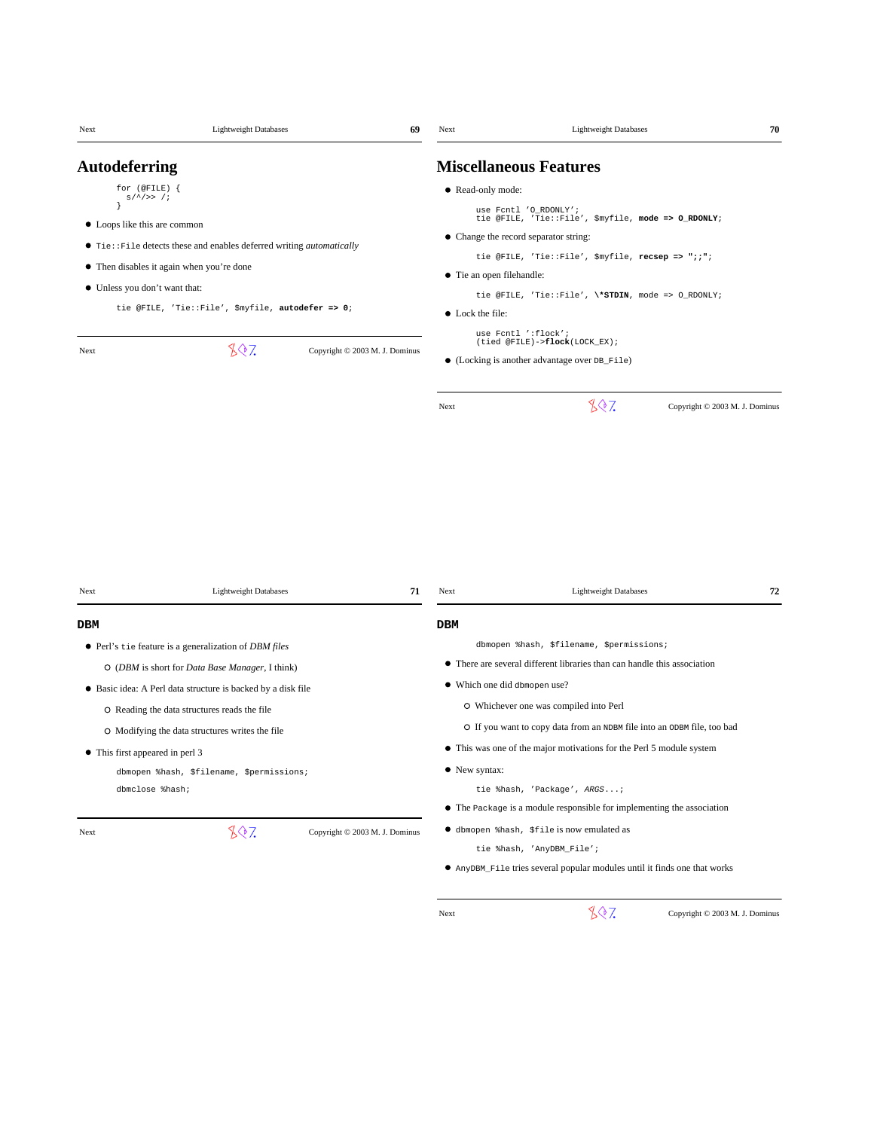| Next                            | <b>Lightweight Databases</b>                                                 | 69                             | Next                      | <b>Lightweight Databases</b>                                                                          | 70                             |
|---------------------------------|------------------------------------------------------------------------------|--------------------------------|---------------------------|-------------------------------------------------------------------------------------------------------|--------------------------------|
| <b>Autodeferring</b>            |                                                                              |                                |                           | <b>Miscellaneous Features</b>                                                                         |                                |
| for (@FILE) {                   |                                                                              |                                | • Read-only mode:         |                                                                                                       |                                |
| $s/^2 >> 1$                     |                                                                              |                                |                           | use Fcntl 'O_RDONLY';                                                                                 |                                |
| • Loops like this are common    |                                                                              |                                |                           | tie @FILE, 'Tie::File', \$myfile, mode => O_RDONLY;                                                   |                                |
|                                 | • Tie:: File detects these and enables deferred writing <i>automatically</i> |                                |                           | • Change the record separator string:                                                                 |                                |
|                                 | • Then disables it again when you're done                                    |                                |                           | tie @FILE, 'Tie::File', \$myfile, recsep => ";;";                                                     |                                |
| • Unless you don't want that:   |                                                                              |                                | • Tie an open filehandle: |                                                                                                       |                                |
|                                 | tie @FILE, 'Tie::File', \$myfile, autodefer => 0;                            |                                | • Lock the file:          | tie @FILE, 'Tie::File', \*STDIN, mode => 0_RDONLY;                                                    |                                |
|                                 |                                                                              |                                |                           | use Fcntl ':flock';                                                                                   |                                |
| Next                            | 807                                                                          | Copyright © 2003 M. J. Dominus |                           | (tied @FILE)->flock(LOCK_EX);                                                                         |                                |
|                                 |                                                                              |                                |                           | • (Locking is another advantage over DB_File)                                                         |                                |
|                                 |                                                                              |                                | Next                      | 807                                                                                                   | Copyright © 2003 M. J. Dominus |
|                                 |                                                                              |                                |                           |                                                                                                       |                                |
|                                 |                                                                              |                                |                           |                                                                                                       |                                |
|                                 |                                                                              |                                |                           |                                                                                                       |                                |
|                                 |                                                                              |                                |                           |                                                                                                       |                                |
|                                 |                                                                              |                                |                           |                                                                                                       |                                |
|                                 |                                                                              |                                |                           |                                                                                                       |                                |
|                                 |                                                                              |                                |                           |                                                                                                       |                                |
| Next                            | <b>Lightweight Databases</b>                                                 | 71                             | Next                      | <b>Lightweight Databases</b>                                                                          | 72                             |
| DBM                             |                                                                              |                                | <b>DBM</b>                |                                                                                                       |                                |
|                                 | • Perl's tie feature is a generalization of DBM files                        |                                |                           | dbmopen %hash, \$filename, \$permissions;                                                             |                                |
|                                 | O (DBM is short for Data Base Manager, I think)                              |                                |                           | • There are several different libraries than can handle this association                              |                                |
|                                 | • Basic idea: A Perl data structure is backed by a disk file                 |                                |                           | • Which one did dbmopen use?                                                                          |                                |
|                                 | O Reading the data structures reads the file                                 |                                |                           | O Whichever one was compiled into Perl                                                                |                                |
|                                 |                                                                              |                                |                           | O If you want to copy data from an NDBM file into an ODBM file, too bad                               |                                |
|                                 | O Modifying the data structures writes the file                              |                                |                           | • This was one of the major motivations for the Perl 5 module system                                  |                                |
| • This first appeared in perl 3 |                                                                              |                                |                           |                                                                                                       |                                |
| dbmclose %hash;                 | dbmopen %hash, \$filename, \$permissions;                                    |                                | • New syntax:             |                                                                                                       |                                |
|                                 |                                                                              |                                |                           | tie %hash, 'Package', ARGS;<br>• The Package is a module responsible for implementing the association |                                |
|                                 |                                                                              |                                |                           |                                                                                                       |                                |
| Next                            | 807                                                                          | Copyright © 2003 M. J. Dominus |                           | <b>•</b> dbmopen %hash, \$file is now emulated as                                                     |                                |
|                                 |                                                                              |                                |                           | tie %hash, 'AnyDBM_File';                                                                             |                                |
|                                 |                                                                              |                                |                           | • AnyDBM_File tries several popular modules until it finds one that works                             |                                |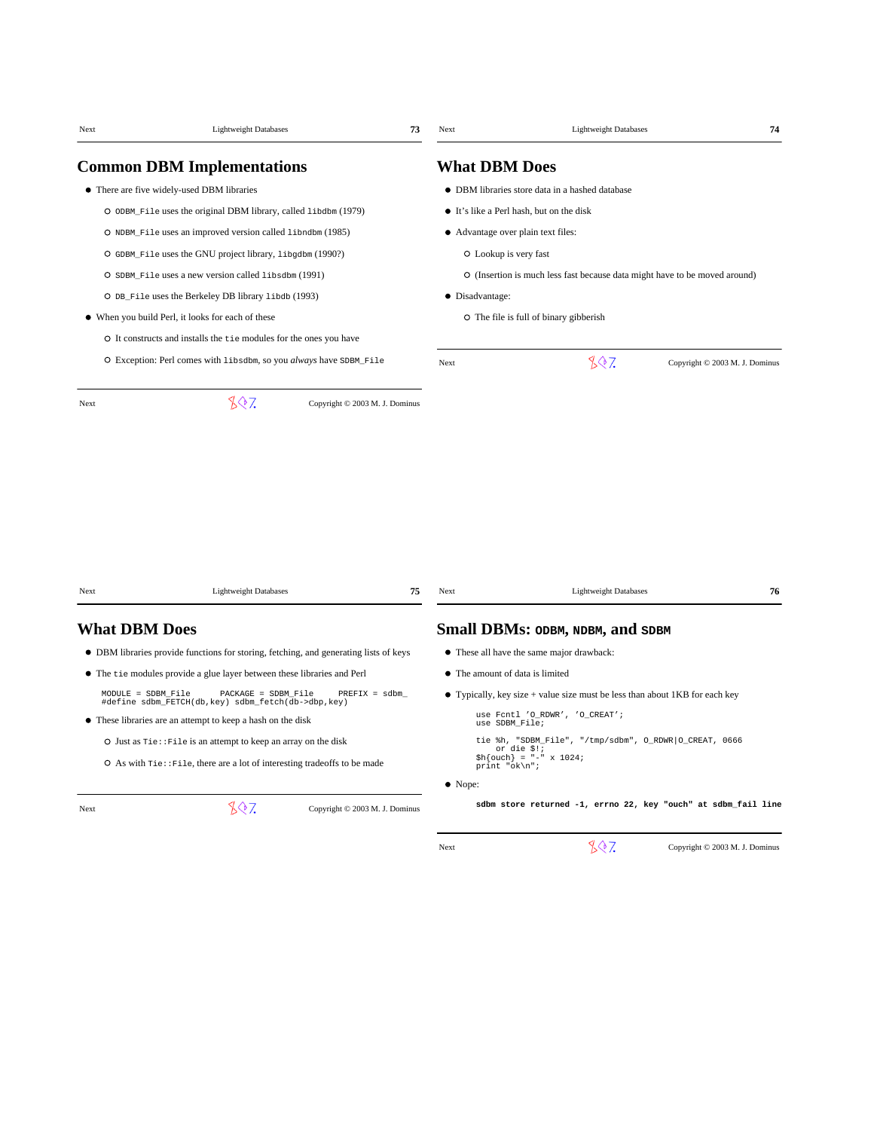|                      | <b>Lightweight Databases</b>                                                          | 73                             | Next                               |                                                                             |                                |
|----------------------|---------------------------------------------------------------------------------------|--------------------------------|------------------------------------|-----------------------------------------------------------------------------|--------------------------------|
|                      | <b>Common DBM Implementations</b>                                                     |                                | <b>What DBM Does</b>               |                                                                             |                                |
|                      | • There are five widely-used DBM libraries                                            |                                |                                    | • DBM libraries store data in a hashed database                             |                                |
|                      | O ODBM_File uses the original DBM library, called libdbm (1979)                       |                                |                                    | • It's like a Perl hash, but on the disk                                    |                                |
|                      | O NDBM_File uses an improved version called libndbm (1985)                            |                                | • Advantage over plain text files: |                                                                             |                                |
|                      | O GDBM_File uses the GNU project library, libgdbm (1990?)                             |                                | O Lookup is very fast              |                                                                             |                                |
|                      | O SDBM_File uses a new version called libsdbm (1991)                                  |                                |                                    | O (Insertion is much less fast because data might have to be moved around)  |                                |
|                      | O DB_File uses the Berkeley DB library libdb (1993)                                   |                                | • Disadvantage:                    |                                                                             |                                |
|                      | • When you build Perl, it looks for each of these                                     |                                |                                    | O The file is full of binary gibberish                                      |                                |
|                      | O It constructs and installs the tie modules for the ones you have                    |                                |                                    |                                                                             |                                |
|                      | O Exception: Perl comes with libsdbm, so you always have SDBM_File                    |                                | Next                               | 807                                                                         | Copyright © 2003 M. J. Dominus |
| Next                 | 807                                                                                   | Copyright © 2003 M. J. Dominus |                                    |                                                                             |                                |
|                      |                                                                                       |                                |                                    |                                                                             |                                |
| Next                 | <b>Lightweight Databases</b>                                                          | 75                             | Next                               | <b>Lightweight Databases</b>                                                | 76                             |
|                      |                                                                                       |                                |                                    |                                                                             |                                |
|                      |                                                                                       |                                |                                    | Small DBMs: ODBM, NDBM, and SDBM                                            |                                |
|                      | • DBM libraries provide functions for storing, fetching, and generating lists of keys |                                |                                    | • These all have the same major drawback:                                   |                                |
|                      | • The tie modules provide a glue layer between these libraries and Perl               |                                | • The amount of data is limited    |                                                                             |                                |
| $MODULE = SDBM_File$ | PACKAGE = SDBM_File<br>#define sdbm_FETCH(db, key) sdbm_fetch(db->dbp, key)           | $PREFIX = sdbm$                |                                    | • Typically, key size + value size must be less than about 1KB for each key |                                |
| <b>What DBM Does</b> | • These libraries are an attempt to keep a hash on the disk                           |                                | use SDBM_File;                     | use Fcntl 'O_RDWR', 'O_CREAT';                                              |                                |
|                      | O Just as Tie: : File is an attempt to keep an array on the disk                      |                                |                                    | tie %h, "SDBM_File", "/tmp/sdbm", O_RDWR O_CREAT, 0666<br>or die \$!;       |                                |
|                      | O As with Tie:: File, there are a lot of interesting tradeoffs to be made             |                                | print "ok\n";                      | $$h{\text{ (ouch)}} = "- " x 1024;$                                         |                                |
|                      |                                                                                       |                                | • Nope:                            |                                                                             |                                |
| Next                 | 807                                                                                   | Copyright © 2003 M. J. Dominus |                                    | sdbm store returned -1, errno 22, key "ouch" at sdbm_fail line              |                                |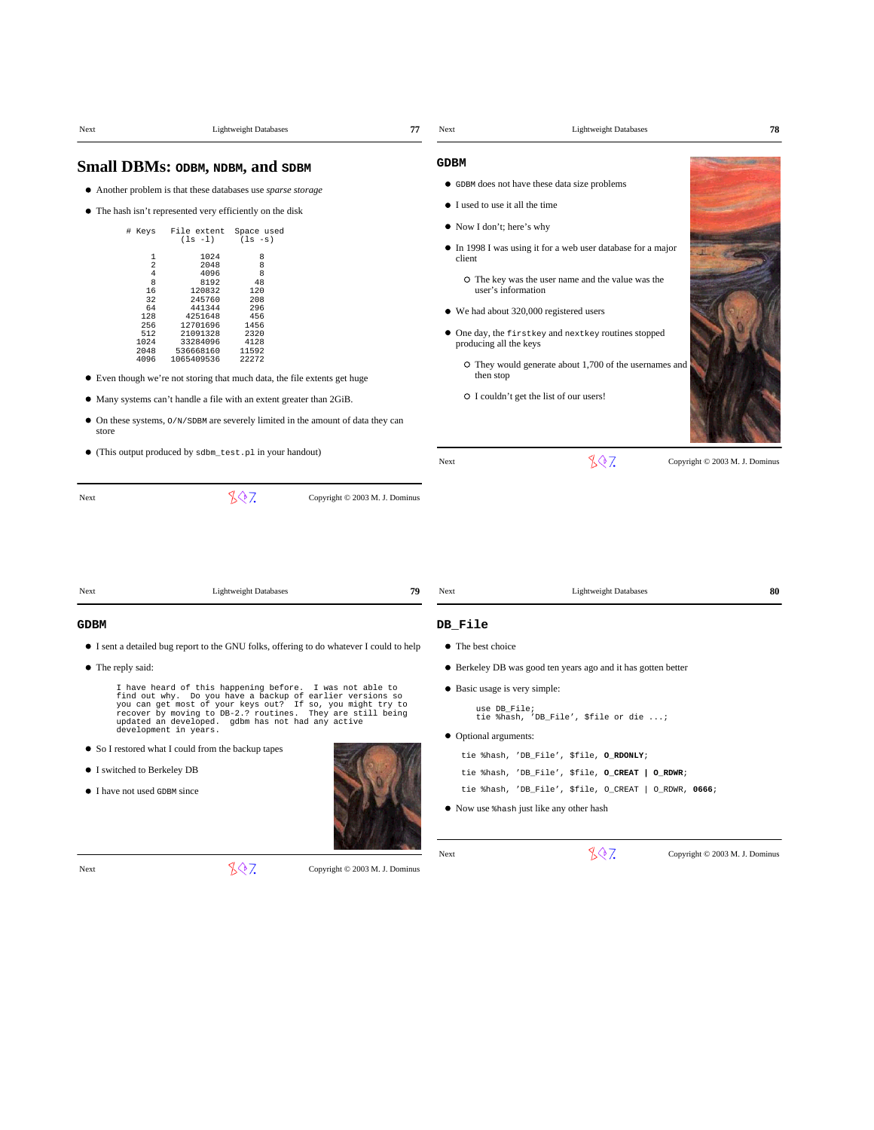| Next                                                                                     | <b>Lightweight Databases</b>                                                                                                                                                                                                                                                                                                                                                                                                                                                                                                                                                                               | 77 | Next                                                                                                   | <b>Lightweight Databases</b>                                                                                                                                                                                                                                                                                                                    | 78                             |
|------------------------------------------------------------------------------------------|------------------------------------------------------------------------------------------------------------------------------------------------------------------------------------------------------------------------------------------------------------------------------------------------------------------------------------------------------------------------------------------------------------------------------------------------------------------------------------------------------------------------------------------------------------------------------------------------------------|----|--------------------------------------------------------------------------------------------------------|-------------------------------------------------------------------------------------------------------------------------------------------------------------------------------------------------------------------------------------------------------------------------------------------------------------------------------------------------|--------------------------------|
|                                                                                          | Small DBMs: ODBM, NDBM, and SDBM                                                                                                                                                                                                                                                                                                                                                                                                                                                                                                                                                                           |    | <b>GDBM</b>                                                                                            |                                                                                                                                                                                                                                                                                                                                                 |                                |
|                                                                                          | • Another problem is that these databases use sparse storage<br>• The hash isn't represented very efficiently on the disk                                                                                                                                                                                                                                                                                                                                                                                                                                                                                  |    | • I used to use it all the time                                                                        | • GDBM does not have these data size problems                                                                                                                                                                                                                                                                                                   |                                |
| # Keys<br>128<br>256<br>512<br>1024<br>2048<br>4096<br>store                             | File extent<br>Space used<br>$(ls -l)$<br>$(ls -s)$<br>1024<br>8<br>$\overline{1}$<br>2<br>2048<br>8<br>8<br>$\overline{4}$<br>4096<br>8<br>8192<br>48<br>16<br>120832<br>120<br>32<br>245760<br>208<br>64<br>441344<br>296<br>4251648<br>456<br>12701696<br>1456<br>21091328<br>2320<br>33284096<br>4128<br>536668160<br>11592<br>22272<br>1065409536<br>• Even though we're not storing that much data, the file extents get huge<br>• Many systems can't handle a file with an extent greater than 2GiB.<br>$\bullet$ On these systems, $O/N$ /SDBM are severely limited in the amount of data they can |    | • Now I don't; here's why<br>client<br>producing all the keys<br>then stop                             | • In 1998 I was using it for a web user database for a major<br>O The key was the user name and the value was the<br>user's information<br>• We had about 320,000 registered users<br>• One day, the firstkey and nextkey routines stopped<br>O They would generate about 1,700 of the usernames and<br>O I couldn't get the list of our users! |                                |
|                                                                                          | • (This output produced by sdbm_test.pl in your handout)                                                                                                                                                                                                                                                                                                                                                                                                                                                                                                                                                   |    | Next                                                                                                   | 807                                                                                                                                                                                                                                                                                                                                             | Copyright © 2003 M. J. Dominus |
| Next                                                                                     | <b>Lightweight Databases</b>                                                                                                                                                                                                                                                                                                                                                                                                                                                                                                                                                                               | 79 | Next                                                                                                   | <b>Lightweight Databases</b>                                                                                                                                                                                                                                                                                                                    | 80                             |
|                                                                                          |                                                                                                                                                                                                                                                                                                                                                                                                                                                                                                                                                                                                            |    |                                                                                                        |                                                                                                                                                                                                                                                                                                                                                 |                                |
| GDBM<br>• The reply said:<br>• I switched to Berkeley DB<br>• I have not used GDBM since | • I sent a detailed bug report to the GNU folks, offering to do whatever I could to help<br>I have heard of this happening before. I was not able to<br>find out why. Do you have a backup of earlier versions so<br>you can get most of your keys out? If so, you might try to<br>recover by moving to DB-2.? routines. They are still being<br>updated an developed. gdbm has not had any active<br>development in years.<br>• So I restored what I could from the backup tapes                                                                                                                          |    | DB File<br>• The best choice<br>• Basic usage is very simple:<br>use DB_File;<br>• Optional arguments: | • Berkeley DB was good ten years ago and it has gotten better<br>tie %hash, 'DB_File', \$file or die ;<br>tie %hash, 'DB_File', \$file, O_RDONLY;<br>tie %hash, 'DB_File', \$file, O_CREAT   O_RDWR;<br>tie %hash, 'DB_File', \$file, O_CREAT   O_RDWR, 0666;<br>• Now use thash just like any other hash                                       |                                |
|                                                                                          |                                                                                                                                                                                                                                                                                                                                                                                                                                                                                                                                                                                                            |    | Next                                                                                                   | 807                                                                                                                                                                                                                                                                                                                                             | Copyright © 2003 M. J. Dominus |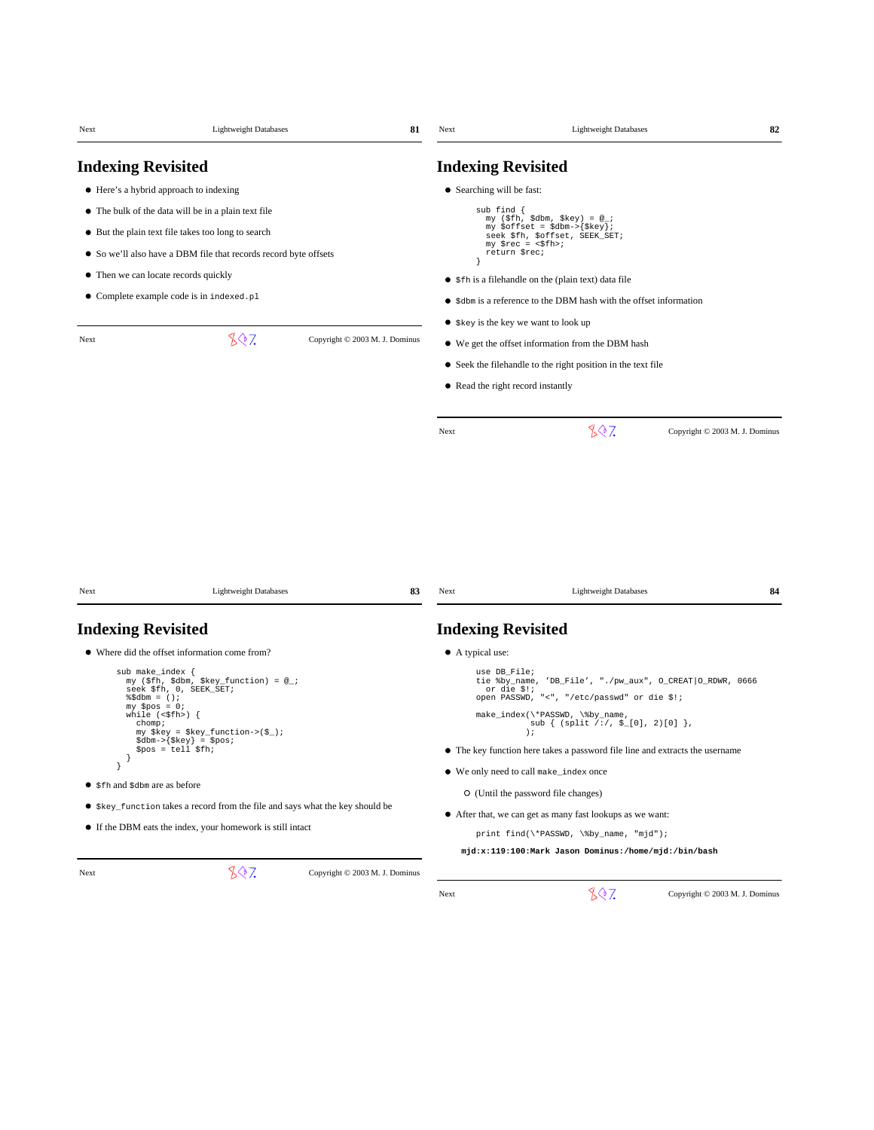| Next                                    | <b>Lightweight Databases</b>                                                                                       | 81                             | Next                             | <b>Lightweight Databases</b>                                                                                              | 82                             |
|-----------------------------------------|--------------------------------------------------------------------------------------------------------------------|--------------------------------|----------------------------------|---------------------------------------------------------------------------------------------------------------------------|--------------------------------|
| <b>Indexing Revisited</b>               |                                                                                                                    |                                | <b>Indexing Revisited</b>        |                                                                                                                           |                                |
|                                         | • Here's a hybrid approach to indexing                                                                             |                                | • Searching will be fast:        |                                                                                                                           |                                |
|                                         | • The bulk of the data will be in a plain text file                                                                |                                | sub find $\{$                    |                                                                                                                           |                                |
|                                         | • But the plain text file takes too long to search                                                                 |                                |                                  | my (\$fh, \$dbm, \$key) = $@_{i}$ ;<br>my \$offset = \$dbm->{\$key};<br>seek \$fh, \$offset, SEEK_SET;                    |                                |
|                                         | • So we'll also have a DBM file that records record byte offsets                                                   |                                |                                  | $my$ $\frac{1}{2}rec = \frac{1}{2}fh$<br>return \$rec;                                                                    |                                |
| • Then we can locate records quickly    |                                                                                                                    |                                |                                  | • \$fh is a filehandle on the (plain text) data file                                                                      |                                |
|                                         | • Complete example code is in indexed.pl                                                                           |                                |                                  | • \$dbm is a reference to the DBM hash with the offset information                                                        |                                |
|                                         |                                                                                                                    |                                |                                  | • \$key is the key we want to look up                                                                                     |                                |
| Next                                    | 807                                                                                                                | Copyright © 2003 M. J. Dominus |                                  | • We get the offset information from the DBM hash                                                                         |                                |
|                                         |                                                                                                                    |                                |                                  |                                                                                                                           |                                |
|                                         |                                                                                                                    |                                |                                  | • Seek the filehandle to the right position in the text file                                                              |                                |
|                                         |                                                                                                                    |                                |                                  | • Read the right record instantly                                                                                         |                                |
|                                         |                                                                                                                    |                                | Next                             | 807                                                                                                                       | Copyright © 2003 M. J. Dominus |
|                                         |                                                                                                                    |                                |                                  |                                                                                                                           |                                |
|                                         |                                                                                                                    |                                |                                  |                                                                                                                           |                                |
|                                         | <b>Lightweight Databases</b>                                                                                       | 83                             | Next                             | <b>Lightweight Databases</b>                                                                                              | 84                             |
| Next                                    |                                                                                                                    |                                |                                  |                                                                                                                           |                                |
| <b>Indexing Revisited</b>               |                                                                                                                    |                                | <b>Indexing Revisited</b>        |                                                                                                                           |                                |
| sub make_index {<br>$\delta$ Sdbm = (); | • Where did the offset information come from?<br>my (\$fh, \$dbm, \$key_function) = @_;<br>seek \$fh, 0, SEEK_SET; |                                | • A typical use:<br>use DB File; | tie %by_name, 'DB_File', "./pw_aux", O_CREAT   O_RDWR, 0666<br>or die \$!;<br>open PASSWD, "<", "/etc/passwd" or die \$!; |                                |
| $my$ \$pos = 0;<br>chomp;               | while $(\langle \$ fh>) {<br>$my$ \$key = \$key_function->(\$_);                                                   |                                |                                  | make_index(\*PASSWD, \%by_name,<br>$sub { (split / : / , $_{[0]}, 2)[0] }$ ,<br>$\rightarrow$                             |                                |
|                                         | $\dagger$ sdbm->{ $\frac{1}{2}$ key} = \$pos;<br>$$pos = tell $fh;$                                                |                                |                                  | • The key function here takes a password file line and extracts the username                                              |                                |
| J<br>$\big\}$                           |                                                                                                                    |                                |                                  | ● We only need to call make_index once                                                                                    |                                |
| ● \$fh and \$dbm are as before          |                                                                                                                    |                                |                                  | O (Until the password file changes)                                                                                       |                                |
|                                         | • \$key_function takes a record from the file and says what the key should be                                      |                                |                                  | • After that, we can get as many fast lookups as we want:                                                                 |                                |
|                                         | • If the DBM eats the index, your homework is still intact                                                         |                                |                                  | print find(\*PASSWD, \%by_name, "mjd");                                                                                   |                                |
|                                         |                                                                                                                    |                                |                                  | mjd:x:119:100:Mark Jason Dominus:/home/mjd:/bin/bash                                                                      |                                |
| Next                                    | 807                                                                                                                | Copyright © 2003 M. J. Dominus |                                  |                                                                                                                           |                                |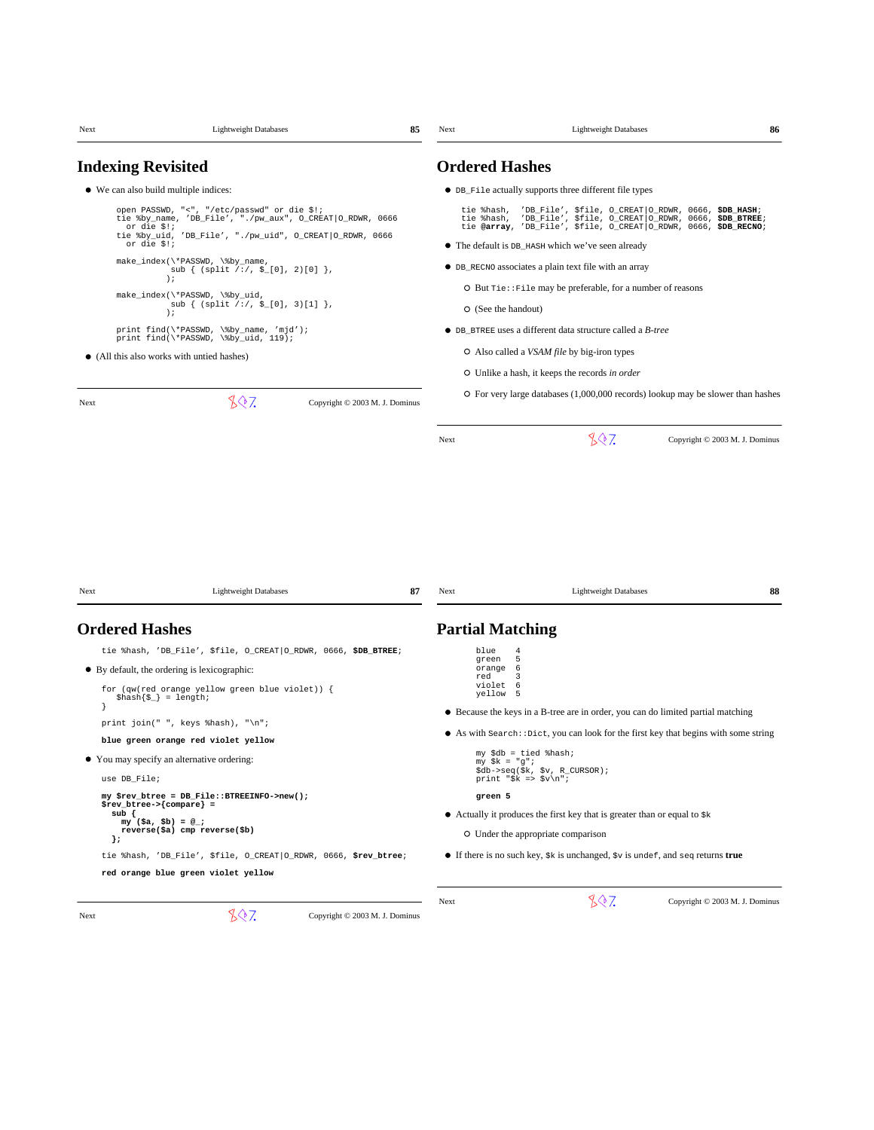| Next | <b>Lightweight Databases</b>                                                                                                                                                                                                                                                                                                                             | 85 | Next          | <b>Lightweight Databases</b>                                                                                                                                                                                                                               | 86 |
|------|----------------------------------------------------------------------------------------------------------------------------------------------------------------------------------------------------------------------------------------------------------------------------------------------------------------------------------------------------------|----|---------------|------------------------------------------------------------------------------------------------------------------------------------------------------------------------------------------------------------------------------------------------------------|----|
|      | <b>Indexing Revisited</b>                                                                                                                                                                                                                                                                                                                                |    |               | <b>Ordered Hashes</b>                                                                                                                                                                                                                                      |    |
|      | • We can also build multiple indices:                                                                                                                                                                                                                                                                                                                    |    |               | • DB_File actually supports three different file types                                                                                                                                                                                                     |    |
|      | open PASSWD, "<", "/etc/passwd" or die \$!;<br>tie %by_name, 'DB_File', "./pw_aux", O_CREAT O_RDWR, 0666<br>or die \$!;<br>tie %by_uid, 'DB_File', "./pw_uid", O_CREAT O_RDWR, 0666<br>or die \$!;                                                                                                                                                       |    |               | tie %hash, 'DB_File', \$file, O_CREAT O_RDWR, 0666, \$DB_HASH;<br>tie %hash, 'DB_File', \$file, O_CREAT O_RDWR, 0666, \$DB_BTREE;<br>tie @array, 'DB_File', \$file, O_CREAT O_RDWR, 0666, \$DB_RECNO;<br>• The default is DB_HASH which we've seen already |    |
|      | make_index(\*PASSWD, \%by_name,                                                                                                                                                                                                                                                                                                                          |    |               | • DB_RECNO associates a plain text file with an array                                                                                                                                                                                                      |    |
|      | sub $\{$ (split /:/, \$_[0], 2)[0] $\},$<br>$\rightarrow$                                                                                                                                                                                                                                                                                                |    |               | O But Tie:: File may be preferable, for a number of reasons                                                                                                                                                                                                |    |
|      | make_index(\*PASSWD, \%by_uid,<br>sub { $(split \t/$ ; $\xi$ [0], 3)[1] },                                                                                                                                                                                                                                                                               |    |               | O (See the handout)                                                                                                                                                                                                                                        |    |
|      | $\rightarrow$<br>print find(\*PASSWD, \%by_name, 'mjd');                                                                                                                                                                                                                                                                                                 |    |               | • DB_BTREE uses a different data structure called a <i>B-tree</i>                                                                                                                                                                                          |    |
|      | print find(\*PASSWD, \%by_uid, 119);                                                                                                                                                                                                                                                                                                                     |    |               | O Also called a <i>VSAM file</i> by big-iron types                                                                                                                                                                                                         |    |
|      | • (All this also works with untied hashes)                                                                                                                                                                                                                                                                                                               |    |               | O Unlike a hash, it keeps the records in order                                                                                                                                                                                                             |    |
| Next | 807<br>Copyright © 2003 M. J. Dominus                                                                                                                                                                                                                                                                                                                    |    |               | $\circ$ For very large databases (1,000,000 records) lookup may be slower than hashes                                                                                                                                                                      |    |
|      |                                                                                                                                                                                                                                                                                                                                                          |    | Next          | 807<br>Copyright © 2003 M. J. Dominus                                                                                                                                                                                                                      |    |
| Next | <b>Lightweight Databases</b>                                                                                                                                                                                                                                                                                                                             | 87 | Next          | <b>Lightweight Databases</b>                                                                                                                                                                                                                               | 88 |
|      | <b>Ordered Hashes</b>                                                                                                                                                                                                                                                                                                                                    |    |               | <b>Partial Matching</b>                                                                                                                                                                                                                                    |    |
|      | tie %hash, 'DB_File', \$file, O_CREAT O_RDWR, 0666, \$DB_BTREE;                                                                                                                                                                                                                                                                                          |    | blue<br>green | 4<br>5                                                                                                                                                                                                                                                     |    |
|      | • By default, the ordering is lexicographic:<br>for $(qw$ (red orange yellow green blue violet)) {<br>$\hbox{\$hash}{\S_}\ = \ \text{length}{\Bigr};$                                                                                                                                                                                                    |    | red           | 6<br>orange<br>3<br>violet<br>6<br>yellow<br>5                                                                                                                                                                                                             |    |
|      | print join(" ", keys $\hbox{hash}$ ), "\n";                                                                                                                                                                                                                                                                                                              |    |               | • Because the keys in a B-tree are in order, you can do limited partial matching                                                                                                                                                                           |    |
|      | blue green orange red violet yellow                                                                                                                                                                                                                                                                                                                      |    |               | $\bullet$ As with search: : Dict, you can look for the first key that begins with some string                                                                                                                                                              |    |
|      | • You may specify an alternative ordering:                                                                                                                                                                                                                                                                                                               |    |               | my \$db = tied %hash;<br>$my$ $\&$ = "g";                                                                                                                                                                                                                  |    |
|      | use DB File;                                                                                                                                                                                                                                                                                                                                             |    |               | \$db->seq(\$k, \$v, R_CURSOR);<br>print "\$k => \$v\n";                                                                                                                                                                                                    |    |
|      | my \$rev_btree = DB_File::BTREEINFO->new();<br>$\frac{1}{2}$ = $\frac{1}{2}$ = $\frac{1}{2}$ = $\frac{1}{2}$ = $\frac{1}{2}$ = $\frac{1}{2}$ = $\frac{1}{2}$ = $\frac{1}{2}$ = $\frac{1}{2}$ = $\frac{1}{2}$ = $\frac{1}{2}$ = $\frac{1}{2}$ = $\frac{1}{2}$ = $\frac{1}{2}$ = $\frac{1}{2}$ = $\frac{1}{2}$ = $\frac{1}{2}$ = $\frac{1}{2}$ = $\frac{1$ |    |               | green 5                                                                                                                                                                                                                                                    |    |
|      | sub {<br>$my (sa, sb) = @$ ;<br>reverse(\$a) cmp reverse(\$b)                                                                                                                                                                                                                                                                                            |    |               | • Actually it produces the first key that is greater than or equal to $$k$$                                                                                                                                                                                |    |
|      | };                                                                                                                                                                                                                                                                                                                                                       |    |               | O Under the appropriate comparison                                                                                                                                                                                                                         |    |
|      | tie %hash, 'DB_File', \$file, O_CREAT   O_RDWR, 0666, \$rev_btree;<br>red orange blue green violet yellow                                                                                                                                                                                                                                                |    |               | $\bullet$ If there is no such key, $\xi k$ is unchanged, $\xi v$ is undef, and seq returns true                                                                                                                                                            |    |
|      |                                                                                                                                                                                                                                                                                                                                                          |    |               |                                                                                                                                                                                                                                                            |    |
| Next | 807<br>Copyright © 2003 M. J. Dominus                                                                                                                                                                                                                                                                                                                    |    | Next          | 807<br>Copyright © 2003 M. J. Dominus                                                                                                                                                                                                                      |    |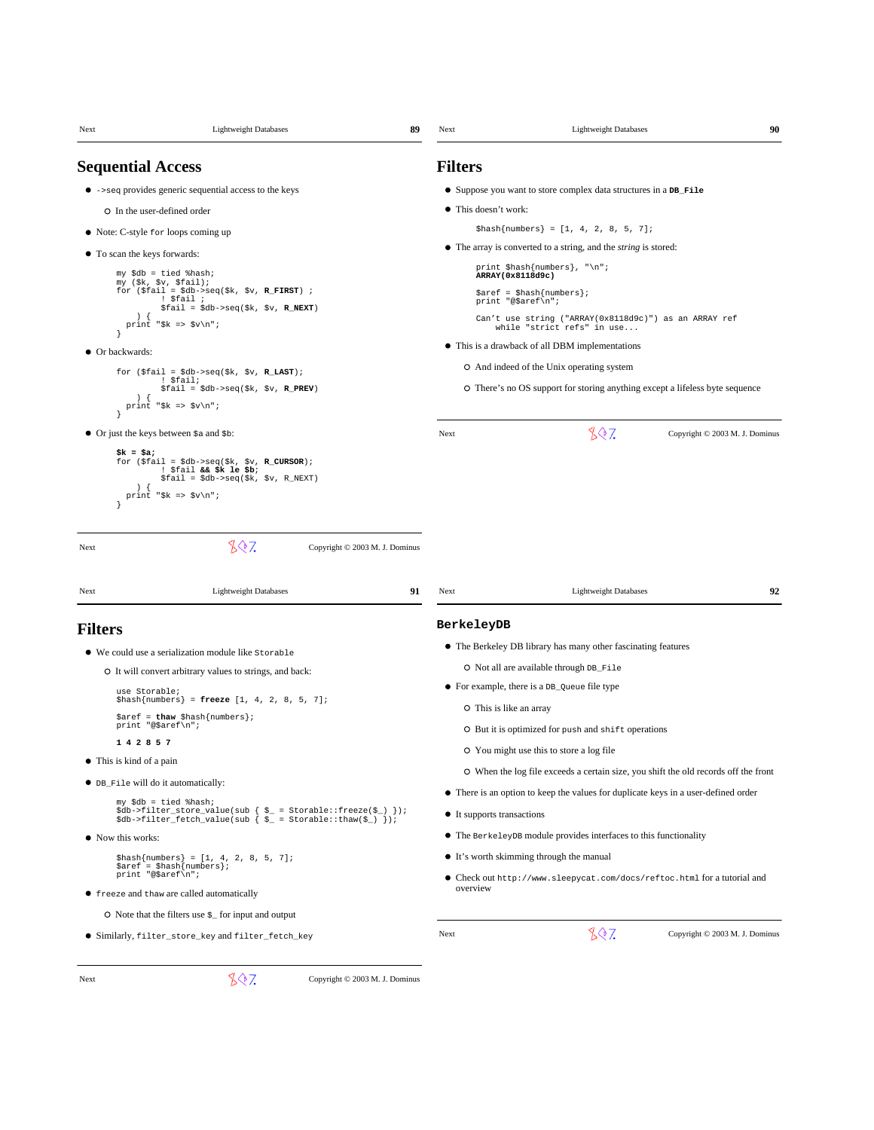| Next           | <b>Lightweight Databases</b>                                                                                                                                                                | 89<br>Next     | 90<br><b>Lightweight Databases</b>                                                                               |
|----------------|---------------------------------------------------------------------------------------------------------------------------------------------------------------------------------------------|----------------|------------------------------------------------------------------------------------------------------------------|
|                | <b>Sequential Access</b>                                                                                                                                                                    | <b>Filters</b> |                                                                                                                  |
|                | $\bullet$ $\rightarrow$ seq provides generic sequential access to the keys                                                                                                                  |                | • Suppose you want to store complex data structures in a DB_File                                                 |
|                | O In the user-defined order                                                                                                                                                                 |                | • This doesn't work:                                                                                             |
|                | • Note: C-style for loops coming up                                                                                                                                                         |                | $\{\text{hash}\{\text{numbers}\} = [1, 4, 2, 8, 5, 7]\}$                                                         |
|                | • To scan the keys forwards:                                                                                                                                                                |                | • The array is converted to a string, and the <i>string</i> is stored:                                           |
|                | my \$db = tied %hash;                                                                                                                                                                       |                | print \$hash{numbers}, "\n";<br>ARRAY (0x8118d9c)                                                                |
|                | my (\$k, \$v, \$fail);<br>for $(\$fail = $db->seq($k, $v, R_FIRST)$ ;<br>! \$fail ;<br>$$fail = $db->seq ($k, $v, R_NEXT)$                                                                  |                | $\text{Saref} = \text{Shash} \{ \text{numbers} \};$<br>print "@\$aref\n";                                        |
|                | ١.<br>print "\$k => \$v\n";                                                                                                                                                                 |                | Can't use string ("ARRAY(0x8118d9c)") as an ARRAY ref<br>while "strict refs" in use                              |
|                | • Or backwards:                                                                                                                                                                             |                | • This is a drawback of all DBM implementations                                                                  |
|                | for $(\$fail = $db->seq($k, $v, R_IAST)$ ;                                                                                                                                                  |                | O And indeed of the Unix operating system                                                                        |
|                | ! \$fail;<br>$$fail = $db->seq ($k, $v, R_PREV)$<br>$\lambda$<br>print "\$k => \$v\n";                                                                                                      |                | O There's no OS support for storing anything except a lifeless byte sequence                                     |
|                | • Or just the keys between $\frac{1}{2}$ and $\frac{1}{2}$ b:                                                                                                                               | Next           | 807<br>Copyright © 2003 M. J. Dominus                                                                            |
| Next<br>Next   | 807<br>Copyright © 2003 M. J. Dominus<br><b>Lightweight Databases</b>                                                                                                                       | 91<br>Next     | 92<br><b>Lightweight Databases</b>                                                                               |
|                |                                                                                                                                                                                             |                |                                                                                                                  |
| <b>Filters</b> |                                                                                                                                                                                             |                | BerkeleyDB                                                                                                       |
|                | • We could use a serialization module like Storable                                                                                                                                         |                | • The Berkeley DB library has many other fascinating features                                                    |
|                | O It will convert arbitrary values to strings, and back:                                                                                                                                    |                | O Not all are available through DB_File<br>• For example, there is a DB_Queue file type                          |
|                | use Storable;<br>$\{\text{hash}\{\text{numbers}\} = \text{freeze } [1, 4, 2, 8, 5, 7];\}$                                                                                                   |                | O This is like an array                                                                                          |
|                | $\text{Saref} = \text{thaw} \, \text{Shash} \{ \text{numbers} \}$<br>print "@\$aref\n";                                                                                                     |                | O But it is optimized for push and shift operations                                                              |
|                | 1 4 2 8 5 7                                                                                                                                                                                 |                |                                                                                                                  |
|                | This is kind of a pain                                                                                                                                                                      |                | O You might use this to store a log file                                                                         |
|                | • DB_File will do it automatically:                                                                                                                                                         |                | O When the log file exceeds a certain size, you shift the old records off the front                              |
|                | my \$db = tied %hash;<br>$\dots$ \$db->filter_store_value(sub { $\zeta$ = Storable::freeze( $\zeta$ ) });<br>$\dots$ \$db->filter_fetch_value(sub { $\zeta$ = Storable::thaw( $\zeta$ ) }); |                | • There is an option to keep the values for duplicate keys in a user-defined order<br>• It supports transactions |
|                | • Now this works:                                                                                                                                                                           |                | • The BerkeleyDB module provides interfaces to this functionality                                                |
|                | $\{\text{hash}\{\text{numbers}\} = [1, 4, 2, 8, 5, 7];\}$                                                                                                                                   |                | • It's worth skimming through the manual                                                                         |
|                | $\text{Saref} = \text{Shash} \{ \text{numbers} \};$<br>print "@\$aref\n";                                                                                                                   |                | • Check out http://www.sleepycat.com/docs/reftoc.html for a tutorial and<br>overview                             |
|                | • freeze and thaw are called automatically                                                                                                                                                  |                |                                                                                                                  |
|                | $\circ$ Note that the filters use $\varsigma$ for input and output                                                                                                                          |                | 807                                                                                                              |
|                | ● Similarly, filter_store_key and filter_fetch_key                                                                                                                                          | Next           | Copyright © 2003 M. J. Dominus                                                                                   |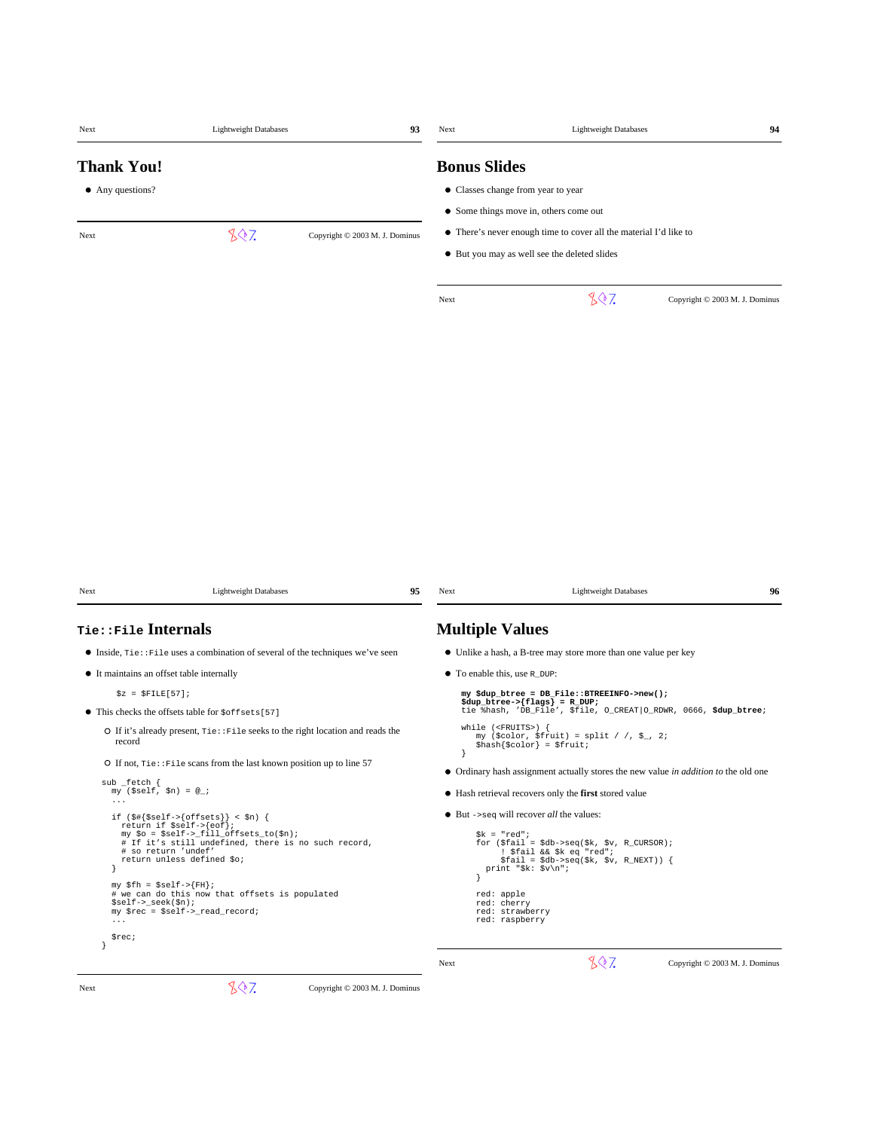| Next                                                       | <b>Lightweight Databases</b>                                                                                                                                                                                  | 93                             | Next                                        | <b>Lightweight Databases</b>                                                                                                                         | 94                             |
|------------------------------------------------------------|---------------------------------------------------------------------------------------------------------------------------------------------------------------------------------------------------------------|--------------------------------|---------------------------------------------|------------------------------------------------------------------------------------------------------------------------------------------------------|--------------------------------|
| <b>Thank You!</b>                                          |                                                                                                                                                                                                               |                                | <b>Bonus Slides</b>                         |                                                                                                                                                      |                                |
| • Any questions?                                           |                                                                                                                                                                                                               |                                |                                             | • Classes change from year to year                                                                                                                   |                                |
|                                                            |                                                                                                                                                                                                               |                                |                                             | • Some things move in, others come out                                                                                                               |                                |
| Next                                                       | 807                                                                                                                                                                                                           | Copyright © 2003 M. J. Dominus |                                             | • There's never enough time to cover all the material I'd like to                                                                                    |                                |
|                                                            |                                                                                                                                                                                                               |                                |                                             | • But you may as well see the deleted slides                                                                                                         |                                |
|                                                            |                                                                                                                                                                                                               |                                | Next                                        | 807                                                                                                                                                  | Copyright © 2003 M. J. Dominus |
|                                                            |                                                                                                                                                                                                               |                                |                                             |                                                                                                                                                      |                                |
|                                                            |                                                                                                                                                                                                               |                                |                                             |                                                                                                                                                      |                                |
|                                                            |                                                                                                                                                                                                               |                                |                                             |                                                                                                                                                      |                                |
|                                                            |                                                                                                                                                                                                               |                                |                                             |                                                                                                                                                      |                                |
|                                                            |                                                                                                                                                                                                               |                                |                                             |                                                                                                                                                      |                                |
|                                                            |                                                                                                                                                                                                               |                                |                                             |                                                                                                                                                      |                                |
|                                                            |                                                                                                                                                                                                               |                                |                                             |                                                                                                                                                      |                                |
|                                                            |                                                                                                                                                                                                               |                                |                                             |                                                                                                                                                      |                                |
| Next                                                       | <b>Lightweight Databases</b>                                                                                                                                                                                  | 95                             | Next                                        | <b>Lightweight Databases</b>                                                                                                                         | 96                             |
| <b>Tie::File Internals</b>                                 |                                                                                                                                                                                                               |                                | <b>Multiple Values</b>                      |                                                                                                                                                      |                                |
|                                                            | $\bullet$ Inside, $\text{rie}: \text{File}$ uses a combination of several of the techniques we've seen                                                                                                        |                                |                                             | • Unlike a hash, a B-tree may store more than one value per key                                                                                      |                                |
|                                                            | • It maintains an offset table internally                                                                                                                                                                     |                                | • To enable this, use R_DUP:                |                                                                                                                                                      |                                |
| $$z = $FILE[57];$                                          |                                                                                                                                                                                                               |                                |                                             | my \$dup_btree = DB_File::BTREEINFO->new();                                                                                                          |                                |
|                                                            | • This checks the offsets table for $\text{softsets}[57]$                                                                                                                                                     |                                |                                             | $\text{Sdup_btree} > \{\text{flags}\} = R_DUP;$<br>tie %hash, 'DB_File', \$file, O_CREAT   O_RDWR, 0666, \$dup_btree;                                |                                |
| record                                                     | O If it's already present, $\text{rie} : \text{File seeks}$ to the right location and reads the                                                                                                               |                                | while $(FRUITS)$ {                          | my (\$color, \$fruit) = split / /, \$_, 2;<br>$\{\text{hash}\}\$ color} = $\text{fruit}$ ;                                                           |                                |
|                                                            | O If not, $\text{rie} : \text{File scans from the last known position up to line } 57$                                                                                                                        |                                | <sup>}</sup>                                | • Ordinary hash assignment actually stores the new value in addition to the old one                                                                  |                                |
| sub _fetch {<br>$my$ (\$self, \$n) = $@_{i}$ ;<br>$\cdots$ |                                                                                                                                                                                                               |                                |                                             | • Hash retrieval recovers only the first stored value                                                                                                |                                |
|                                                            | if $(\frac{1}{2}$ {\$self->{offsets}} < \$n) {                                                                                                                                                                |                                |                                             | $\bullet$ But ->seq will recover <i>all</i> the values:                                                                                              |                                |
|                                                            | return if $\text{self} \rightarrow \{ \text{eof} \}$ ;<br>my \$o = \$self->_fill_offsets_to(\$n);<br># If it's still undefined, there is no such record,<br># so return 'undef'<br>return unless defined \$0; |                                | $%k = "red";$                               | for $(\$fail = \$db->seq(\$k, \$v, R_CURSOR)$ ;<br>! \$fail && \$k eq "red";<br>$$fail = $db->seq ($k, $v, R_NEXT)$ {<br>print " $k: \ y\sqrt{n}$ "; |                                |
| $$self->_seek ($n);$<br>$\cdots$                           | $my$ \$fh = \$self->{FH};<br># we can do this now that offsets is populated<br>my \$rec = \$self->_read_record;                                                                                               |                                | red: apple<br>red: cherry<br>red: raspberry | red: strawberry                                                                                                                                      |                                |
| \$rec;                                                     |                                                                                                                                                                                                               |                                |                                             |                                                                                                                                                      |                                |

Next Copyright © 2003 M. J. Dominus